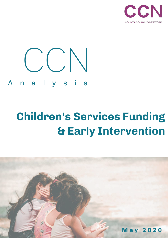

# **Children's Services Funding & Early Intervention**

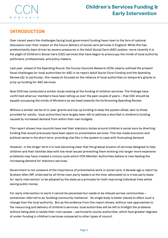

### **INTRODUCTION**

Over recent years the challenges facing local government funding have risen to the fore of national discussion over their impact on the future delivery of social care services in England. While this has predominantly been driven by severe pressures in the Adult Social Care (ASC) system, more recently it is the plight of Children's Social Care (CSC) services that have begun to preoccupy the minds of local authority politicians, professionals, and policy makers.

Last year, ahead of the Spending Round, the County Councils Network (CCN) clearly outlined the present fiscal challenges for local authorities for ASC in its report *Adult Social Care Funding and the Spending Review [1]*. In particular, this research focused on the reliance of local authorities on temporary grants to prop up funding for ASC services.

Now CCN has conducted a similar study looking at the funding of children services. The findings have confirmed what our members have been telling us over the past couple of years – that CSC should be equally occupying the minds of Ministers as we head towards the forthcoming Spending Review.

Without a similar series of in-year grants and top-up funding to keep the system afloat, akin to those provided for adults, local authorities have largely been left to address a shortfall in children's funding caused by increased demand from within their own budgets.

This report shows how councils have met their statutory duties around children's social care by diverting funding that would previously have been spent on preventative services. This has made economic and political sense in the short term, providing vital flex in the system to cope with fluctuating demand.

However, in the longer term it is now becoming clear that the gradual erosion of services designed to help children and their families deal with low-level issues (preventing them evolving into larger more expensive problems) may have created a vicious cycle which CCN Member Authorities believe is now feeding the increasing demand for statutory services.

Government is not unaware of the importance of preventative work in social care. A decade ago a report by Graham Allen MP, endorsed by all three main party leaders at the time, advocated on a cross party basis for 'early intervention' to be adopted by the state as a principle for both improving individual lives whilst saving public money.

For early intervention to work it cannot be piecemeal but needs to be imbued across communities – sometimes referred to as 'building community resilience'. No single body is better placed to effect such a change than the local authority. But as the evidence from this report shows, without new approaches to the resourcing and delivery of children's services, local authorities will be left to firefight the problems without being able to tackle their root causes – particularly county authorities, which face greater degrees of under-funding in children's services compared to other types of council.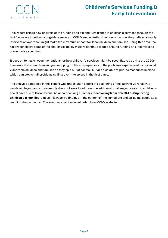# **Children's Services Funding & Early Intervention**

This report brings new analysis of the funding and expenditure trends in children's services through the last five years together, alongside a survey of CCN Member Authorities' views on how they believe an early intervention approach might make the maximum impact for local children and families. Using this data, the report considers some of the challenges policy makers continue to face around funding and incentivising preventative spending.

It goes on to make recommendations for how children's services might be reconfigured during the 2020s to ensure that councils aren't just mopping up the consequences of the problems experienced by our most vulnerable children and families as they spin out of control, but are also able to put the measures in place which can stop small problems spilling over into crises in the first place.

The analysis contained in this report was undertaken before the beginning of the current Coronavirus pandemic began and subsequently does not seek to address the additional challenges created in children's social care due to Coronavirus. An accompanying summary '**Recovering from COVID-19 - Supporting Children's & Families'** places this report's findings in the context of the immediate and on-going issues as a result of the pandemic. The summary can be downloaded from CCN's website.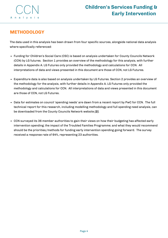

### **METHODOLOGY**

The data used in this analysis has been drawn from four specific sources, alongside national data analysis where specifically referenced:

- Funding for Children's Social Care (CSC) is based on analysis undertaken for County Councils Network (CCN) by LG futures. Section 1 provides an overview of the methodology for this analysis, with further details in Appendix A. LG Futures only provided the methodology and calculations for CCN. All interpretations of data and views presented in this document are those of CCN, not LG Futures.
- Expenditure data is also based on analysis undertaken by LG Futures. Section 2 provides an overview of the methodology for the analysis, with further details in Appendix A. LG Futures only provided the methodology and calculations for CCN. All interpretations of data and views presented in this document are those of CCN, not LG Futures.
- Data for estimates on council 'spending needs' are dawn from a recent report by PwC for CCN. The full technical report for this research, including modelling methodology and full spending need analysis, can be downloaded from the County Councils Network website *[2]*.
- CCN surveyed its 36 member authorities to gain their views on how their budgeting has affected early intervention spending; the impact of the Troubled Families Programme; and what they would recommend should be the priorities/methods for funding early intervention spending going forward. The survey received a response rate of 64%, representing 23 authorities.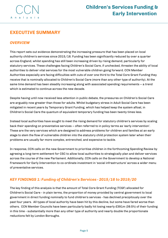

### **EXECUTIVE SUMMARY**

#### *OVERVIEW*

This report sets out evidence demonstrating the increasing pressure that has been placed on local authority children's services since 2015/16. Funding has been significantly reduced by over a quarter across England, whilst spending has still been increasing driven by rising demand, particularly for statutory services. These challenges facing Children's Social Care, if unchecked, threaten the ability of local authorities to deliver vital services for the most vulnerable children going forward. CCN Member Authorities especially are facing difficulties with cuts of over one third to the Total Core Grant Funding they receive that is nominally allocated to Children's Social Care (more than any other type of authority). At the same time demand has been steadily increasing along with associated spending requirements – a trend which is estimated to continue across the new decade.

Despite having until now received less attention in public debate, the pressures on Children's Social Care are arguably now greater than those for adults. Whilst budgetary stress in Adult Social Care has been mitigated in recent years by Temporary Grant Funding, which has helped keep the system afloat, in Children's Social Care the quantum of equivalent temporary funding has been twenty times less.

Instead local authorities have sought to meet the rising demand for statutory children's services by scaling back their spending on preventative services – often referred to in policy terms as 'early intervention'. These are the very services which are designed to address problems for children and families at an early stage to stem the flow of vulnerable children into the statutory child protection system later when their problems are usually far more complex, entrenched, and expensive to tackle.

In response, CCN calls on the new Government to prioritise children in the forthcoming Spending Review by agreeing a long-term settlement for CSC to allow local authorities to strategically plan and deliver services across the course of the new Parliament. Additionally, CCN calls on the Government to develop a National Framework for Early Intervention to co-ordinate investment in 'social infrastructure' across a wider menu of preventative services.

#### *KEY FINDINGS 1: Funding of Children's Services - 2015/16 to 2019/20*

The key finding of this analysis is that the amount of Total Core Grant Funding (TCGF) allocated for Children's Social Care - in plain terms, the proportion of money provided by central government to local government in direct funding nominally to fund children's services - has declined precipitously over the past four years. All types of local authority have been hit by this decline, but some have fared worse than others. CCN Member Councils have been particularly badly hit losing nearly £391m (39.5%) of their funding in this time - substantially more than any other type of authority and nearly double the proportionate reductions felt by London Boroughs.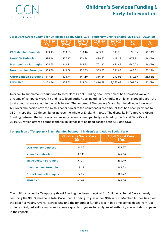

| Total Core Grant Funding tor Children's Social Care (w/o Temporary Grant Funding) 2015/16 - 2019/20 |                  |                  |                  |                  |                  |               |                          |  |  |
|-----------------------------------------------------------------------------------------------------|------------------|------------------|------------------|------------------|------------------|---------------|--------------------------|--|--|
|                                                                                                     | 2015-16<br>(E/m) | 2016-17<br>(E/m) | 2017-18<br>(E/m) | 2018-19<br>(E/m) | 2019-20<br>(E/m) | (£ṃ)<br>$+/-$ | $\frac{\%}{\frac{1}{2}}$ |  |  |
| <b>CCN Member Councils</b>                                                                          | 989.13           | 853.33           | 733.16           | 653.33           | 598.28           | $-390.85$     | $-39.51%$                |  |  |
| <b>Non-CCN Unitaries</b>                                                                            | 586.44           | 527.17           | 472.94           | 439.62           | 413.12           | $-173.31$     | $-29.55%$                |  |  |
| <b>Metropolitan Boroughs</b>                                                                        | 904.65           | 818.32           | 744.93           | 702.22           | 664.42           | $-240.22$     | $-26.55%$                |  |  |
| <b>Inner London Boroughs</b>                                                                        | 375.59           | 349.08           | 322.55           | 305.27           | 291.88           | $-83.71$      | $-22.29%$                |  |  |
| <b>Outer London Boroughs</b>                                                                        | 417.66           | 378.74           | 341.10           | 316.34           | 297.98           | $-119.69$     | $-28.66%$                |  |  |
| <b>ENGLAND</b>                                                                                      | 3.273.46         | 2,926.63         | 2,614.68         | 2,416.78         | 2.265.68         | $-1.007.78$   | $-32.52%$                |  |  |

#### *Total Core Grant Funding* **for Children's Social Care (w/o** *Temporary Grant Funding***) 2015/16 - 2019/20**

In order to supplement reductions to Total Core Grant Funding, the Government has provided various streams of Temporary Grant Funding to local authorities including for Adults & Children's Social Care - the total amounts are set out in the table below. The amount of Temporary Grant Funding directed towards ASC over the period covered by this report dwarfs the commensurate amount that has been provided to CSC – more than 20 times higher across the whole of England in total. The disparity in Temporary Grant Funding between the two services has only recently been partially rectified by the Social Care Grant 2019/20 which offered councils the flexibility for it to be used across both ASC *and* CSC.

#### **Comparison of** *Temporary Grant Funding* **between Children's and Adults Social Care**

|                              | <b>Children's Social Care</b><br>(E/m) | <b>Adult Social Care</b><br>(E/m) |
|------------------------------|----------------------------------------|-----------------------------------|
| <b>CCN Member Councils</b>   | 36.56                                  | 933.57                            |
| <b>Non-CCN Unitaries</b>     | 17.35                                  | 392.06                            |
| <b>Metropolitan Boroughs</b> | 25.26                                  | 689.49                            |
| <b>Inner London Boroughs</b> | 9.13                                   | 189.23                            |
| <b>Outer London Boroughs</b> | 12.27                                  | 187.72                            |
| <b>ENGLAND</b>               | 101.02                                 | 2,392.06                          |

The uplift provided by Temporary Grant Funding has been marginal for Children's Social Care - merely reducing the 39.5% decline in Total Core Grant Funding to just under 36% in CCN Member Authorities over the past five years. Overall across England the amount of funding lost in this time comes down from just under a third, but still remains well above a quarter (figures for all types of authority are included on page in the report).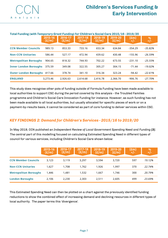

#### **Total Funding (with** *Temporary Grant Funding***) for Children's Social Care 2015/16 - 2019/20**

|                              | 2015-16<br>(E/m) | 2016-17<br>(E/m) | $2017 - 18$<br>(E/m) | 2018-19<br>(E/m) | 2019-20<br>(E/m) | $\frac{(\text{Em})}{+\text{L}}$ | $^{96}_{+/-}$ |
|------------------------------|------------------|------------------|----------------------|------------------|------------------|---------------------------------|---------------|
| <b>CCN Member Councils</b>   | 989.13           | 853.33           | 733.16               | 653.34           | 634.84           | $-354.29$                       | $-35.82%$     |
| <b>Non-CCN Unitaries</b>     | 586.44           | 527.17           | 472.94               | 439.62           | 430.48           | $-155.96$                       | $-26.59%$     |
| <b>Metropolitan Boroughs</b> | 904.65           | 818.32           | 744.93               | 702.22           | 673.55           | $-231.10$                       | $-25.55%$     |
| <b>Inner London Boroughs</b> | 375.59           | 349.08           | 322.55               | 305.27           | 304.15           | $-71.44$                        | $-19.02%$     |
| <b>Outer London Boroughs</b> | 417.66           | 378.74           | 341.10               | 316.34           | 323.24           | $-94.42$                        | $-22.61%$     |
| <b>ENGLAND</b>               | 3.273.46         | 2,926.63         | 2,614.68             | 2,416.78         | 2,366.70         | $-906.76$                       | $-27.70%$     |

This study does recognise other pots of funding outside of Formula Funding have been made available to local authorities to support CSC during the period covered by this analysis - the Troubled Families programme and Children's Social Care Innovation Funding for instance. However, as such funding has not been made available to all local authorities, but usually allocated for specific pieces of work or on a payment-by-results basis, it cannot be considered as part of core funding to deliver services within CSC.

#### *KEY FINDINGS 2: Demand for Children's Services - 2015/16 to 2019/20*

In May 2019, CCN published an *Independent Review of Local Government Spending Need and Funding [3]*. The central part of this modelling focused on calculating Estimated Spending Need in different types of council for various services, including Children's Social Care shown below:

|                              | 2015-16<br>(E/m) | 2016-17<br>(E/m) | 2017-18<br>(E/m) | 2018-19<br>(E/m) | 2019-20<br>(E/m) | (£ṃ)<br>$+/-$ | $\frac{9}{6}$ |
|------------------------------|------------------|------------------|------------------|------------------|------------------|---------------|---------------|
| <b>CCN Member Councils</b>   | 3.123            | 3.119            | 3.297            | 3,594            | 3.720            | 597           | 19.12%        |
| <b>Non-CCN Unitaries</b>     | 1.627            | 1,708            | 1.762            | 1,926            | 1.997            | 370           | 22.74%        |
| <b>Metropolitan Boroughs</b> | 1,446            | 1.481            | 1,532            | 1.667            | 1.746            | 300           | 20.79%        |
| <b>London Boroughs</b>       | 2,106            | 2.230            | 2,303            | 2,511            | 2,605            | 499           | 23.69%        |

This Estimated Spending Need can then be plotted on a chart against the previously identified funding reductions to show the combined effect of increasing demand and declining resources in different types of local authority. The paper terms this 'divergence'.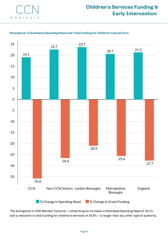



#### **'Divergence' of Estimated Spending Need and Total Funding for** *Children's Social Care*

**M**% Change in Spending Need **Mange in Grant Funding** 

The divergence in CCN Member Councils – comprising an increase in Estimated Spending Need of 19.1% and a reduction in total funding for children's services of 35.8% – is larger than any other type of authority.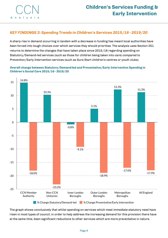

#### *KEY FINDINGS 3: Spending Trends in Children's Services 2015/16 - 2019/20*

A sharp rise in demand occurring in tandem with a decrease in funding has meant local authorities have been forced into tough choices over which services they should prioritise. The analysis uses Section 251 returns to determine the changes that have taken place since 2015/16 regarding spending on Statutory/Demand-led services (such as those for children being taken into care) compared to Prevention/Early Intervention services (such as Sure Start children's centres or youth clubs).

**Overall change between Statutory/Demand-led and Preventative/Early Intervention Spending in Children's Social Care 2015/16 - 2019/20**



The graph shows conclusively that whilst spending on services which meet immediate statutory need have risen in most types of council, in order to help address the increasing demand for this provision there have at the same time, been significant reductions to other services which are more preventative in nature.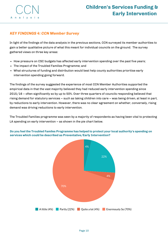

#### *KEY FINDINGS 4: CCN Member Survey*

In light of the findings of the data analysis in the previous sections, CCN surveyed its member authorities to gain a better qualitative picture of what this meant for individual councils on the ground. The survey gathered views on three key areas:

- How pressure on CSC budgets has affected early intervention spending over the past five years;
- The impact of the Troubled Families Programme; and
- What structures of funding and distribution would best help county authorities prioritise early intervention spending going forward.

The findings of the survey suggested the experience of most CCN Member Authorities supported the empirical data in that the vast majority believed they had reduced early intervention spending since 2015/16 – often significantly so by up to 50%. Over three quarters of councils responding believed that rising demand for statutory services – such as taking children into care – was being driven, at least in part, by reductions to early intervention. However, there was no clear agreement on whether, conversely, rising demand was driving reductions to early intervention.

The Troubled Families programme was seen by a majority of respondents as having been vital to protecting LA spending on early intervention – as shown in the pie chart below.



#### **Do you feel the Troubled Familes Programme has helped to protect your local authority's spending on services which could be described as Preventative/Early Intervention?**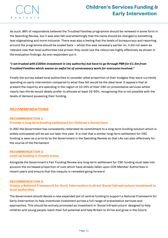

As such, 86% of respondents believed the Troubled Families programme should be renewed in some form in the Spending Review, but it was also felt overwhelmingly that the name should be changed to something less stigmatising and more inclusive. There was also a feeling that the levels of bureaucracy and reporting around the programme should be scaled back – whilst this was necessary earlier on, it did not seem as relevant now that local authorities had proven they could use the resources highly effectively as shown in the evaluation findings. As one respondent put it:

#### *"I am trusted with £200m investment in* **[my authority]** *but have to go through PBR for £1.5m from Troubled Families which seems an awful lot of unnecessary work for everyone involved."*

Finally the survey asked local authorities to consider what proportion of their budgets they were currently spending on early intervention compared to what they felt would be the ideal level. It appears that at present the majority are spending in the region of 10-25% of their CSC on preventative services whilst nearly two-thirds would ideally prefer to allocate at least 25-50%, recognising this is not possible with the levels of demand squeezing their funding.

#### *RECOMMENDATIONS*

#### *RECOMMENDATION 1: Provide a long-term funding settlement for Children's Social Care*

In ASC the Government has consistently reiterated its commitment to a long-term funding solution which is widely anticipated will be set out later this year. It is vital that a similar long-term settlement for CSC funding is seen as a priority by the Government in the Spending Review so that LAs can plan effectively for the course of the Parliament.

#### *RECOMMENDATION 2: Level up funding in County areas*

Alongside the Government's Fair Funding Review any long-term settlement for CSC funding must take into account the increased proportion of cuts which have already fallen upon CCN Member Authorities in recent years and ensure that this inequity is remedied going forward.

#### *RECOMMENDATION 3:*

#### *Create a National Framework for Early Intervention to direct Social Infrastructure investment to local authorities*

The Government should devote a new expanded pot of central funding to support a National Framework for Early Intervention to help incentivise investment across a full range of preventative services and approaches. This should be actively promoted as investment in 'Social Infrastructure' designed to help children and young people reach their full potential and help Britain to thrive and grow in the future.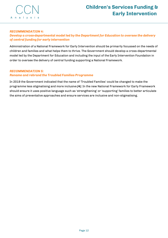

#### *RECOMMENDATION 4:*

#### *Develop a cross-departmental model led by the Department for Education to oversee the delivery of central funding for early intervention*

Administration of a National Framework for Early Intervention should be primarily focussed on the needs of children and families and what helps them to thrive. The Government should develop a cross-departmental model led by the Department for Education and including the input of the Early Intervention Foundation in order to oversee the delivery of central funding supporting a National Framework.

#### *RECOMMENDATION 5:*

#### *Rename and rebrand the Troubled Families Programme*

In 2019 the Government indicated that the name of 'Troubled Families' could be changed to make the programme less stigmatising and more inclusive *[4]*. In the new National Framework for Early Framework should ensure it uses positive language such as 'strengthening' or 'supporting' families to better articulate the aims of preventative approaches and ensure services are inclusive and non-stigmatising.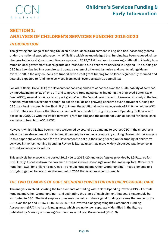

# **SECTION 1: ANALYSIS OF CHILDREN'S SERVICES FUNDING 2015-2020** *INTRODUCTION*

The growing challenge of funding Children's Social Care (CSC) services in England has increasingly come under the national spotlight recently. While it is widely acknowledged that funding has been reduced, since changes to the local government finance system in 2013/14 it has been increasingly difficult to identify how much of local government's core grants are intended to fund children's services in England. The funding of CSC has been buried in a complex and opaque system of different formulae and grants, alongside an overall shift in the way councils are funded, with direct grant funding for children significantly reduced and councils expected to fund more services from local revenues such as council tax.

For Adult Social Care (ASC) the Government has responded to concerns over the sustainability of services by introducing an array of 'one off' and temporary funding streams, including the Improved Better Care Fund (iBCF); several 'social care support grants'; and the 'social care precept'. However, it is only in the last financial year the Government sought to act on similar and growing concerns over equivalent funding for CSC, by allowing councils the 'flexibility' to invest the additional social care grants of £410m on either ASC or CSC. The recent news that this approach will be extended during the present Spending 'Roll Forward' period in 2020/21 with the 'rolled forward' grant funding and the additional £1bn allocated for social care available to fund both ASC & CSC.

However, whilst this has been a move welcomed by councils as a means to protect CSC in the short term while the new Government finds its feet, it can only be seen as a temporary sticking plaster. As the analysis in this paper shows the need for the Government to set out their long-term plan for funding of children's services in the forthcoming Spending Review is just as urgent as more widely discussed public concern around social care for adults.

This analysis here covers the period 2015/16 to 2019/20 and uses figures provided by LG Futures for CCN. Firstly it breaks down the two main streams in Core Spending Power that make up Total Core Grant Funding (TCGF) for children's services – Formula Funding and Other Grant Funding. These elements are brought together to determine the amount of TCGF that is accessible to councils.

#### *THE TWO ELEMENTS OF CORE SPENDING POWER FOR CHILDREN'S SOCIAL CARE*

The analysis involved isolating the two elements of funding within Core Spending Power (CSP) – Formula Funding and Other Grant Funding – and estimating the share of each element that could reasonably be attributed to CSC. The first step was to assess the value of the original funding streams that made up the CSP over the period 2015/16 to 2019/20. This involved disaggregating the Settlement Funding Assessment (SFA) into its original grants, which are no longer separately identified in the figures published by Ministry of Housing Communities and Local Government (MHCLG).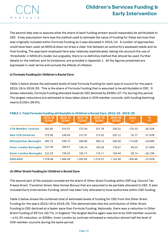

The second step was to assume what the share of each funding stream would reasonably be attributable to CSC. A key assumption here was the method used to estimate the value of funding for these services that was originally included within Formula Funding as it was allocated in 2013/14. A number of approaches could have been used, as MHCLG does not draw a clear link between an authority's assessed needs and its final funding. The approach employed here was relatively sophisticated, taking into account the use of 'thresholds' in MHCLG's model, but arguably, there is no definitive method that should be used. Further details on the method, and its limitations, are provided in Appendix 1. All the figures presented are expressed in cash terms and exclude the effects of inflation.

#### *(i) Formula Funding for Children's Social Care*

Table 1 below shows the estimated levels of total Formula Funding for each type of council for the years 2015/16 to 2019/20. This is the share of Formula Funding that is assumed to be attributable to CSC. It shows nationally, Formula Funding allocated towards CSC declined by £436m (27.7%) during this period. The largest reductions are estimated to have taken place in CCN member councils, with funding declining nearly £133m (36.5%).

|                              | 2015-16<br>(E/m) | 2016-17<br>(E/m) | 2017-18<br>(E/m) | 2018-19<br>(E/m) | 2019-20<br>(E/m) | (£m)<br>$+/-$ | $\frac{\%}{\frac{1}{2}}$ |  |  |
|------------------------------|------------------|------------------|------------------|------------------|------------------|---------------|--------------------------|--|--|
| <b>CCN Member Councils</b>   | 362.85           | 310.37           | 272.54           | 251.78           | 230.32           | $-132.53$     | $-36.52%$                |  |  |
| <b>Non-CCN Unitaries</b>     | 279.90           | 249.69           | 227.91           | 215.92           | 203.12           | $-76.77$      | $-27.43%$                |  |  |
| <b>Metropolitan Boroughs</b> | 485.73           | 438.73           | 404.86           | 386.22           | 366.04           | $-119.68$     | $-24.64%$                |  |  |
| <b>Inner London Boroughs</b> | 227.40           | 208.07           | 194.16           | 185.50           | 178.07           | $-49.33$      | $-21.69%$                |  |  |
| <b>Outer London Boroughs</b> | 222.59           | 199.63           | 183.13           | 174.11           | 164.44           | $-58.14$      | $-26.12%$                |  |  |
| <b>ENGLAND</b>               | 1,578.46         | 1.406.49         | 1,282.60         | 1,214.53         | 1.142.00         | $-436.46$     | $-27.65%$                |  |  |

#### **TABLE 1: Total** *Formula Funding* **attributable to Children's Social Care, 2015/16 - 2019/20**

#### *(ii) Other Grant Funding for Children's Social Care*

The second part of the analysis considered the share of Other Grant Funding within CSP (e.g. Council Tax Freeze Grant, Transition Grant, New Homes Bonus) that are assumed to be partially allocated to CSC. It also included Early Intervention Funding, which has been fully allocated to local authorities within CSC funding.

Table 2 below shows the combined total of estimated levels of funding for CSC from this Other Grant Funding for the years 2015/16 to 2019/20. This demonstrates that the contribution of Other Grant Funding to CSC declined at a faster pace than Formula Funding. Nationally, there was a reduction in Other Grant Funding of £571m (33.7%), in England. The largest decline again was borne by CCN member councils – a 41.3% reduction, or £258m. Inner London by contrast witnessed a reduction almost half the level of CCN member councils during the same period.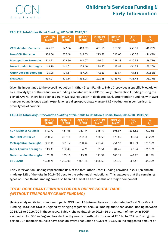#### **TABLE 2: Total** *Other Grant Funding,* **2015/16 - 2019/20**

|                              | 2015-16<br>(E/m) | 2016-17<br>(E/m) | 2017-18<br>(E/m) | 2018-19<br>(E/m) | 2019-20<br>(E/m) | $(\text{Em})$<br>$+/-$ | $\frac{\%}{\frac{1}{2}}$ |
|------------------------------|------------------|------------------|------------------|------------------|------------------|------------------------|--------------------------|
| <b>CCN Member Councils</b>   | 626.27           | 542.96           | 460.62           | 401.55           | 367.96           | $-258.31$              | -41.25%                  |
| <b>Non-CCN Unitaries</b>     | 306.56           | 277.48           | 245.03           | 223.70           | 210.00           | $-96.55$               | $-31.49%$                |
| <b>Metropolitan Boroughs</b> | 418.92           | 379.59           | 340.07           | 316.01           | 298.38           | $-120.54$              | $-28.77\%$               |
| <b>Inner London Boroughs</b> | 148.19           | 141.01           | 128.40           | 118.77           | 113.81           | $-34.38$               | $-23.20%$                |
| <b>Outer London Boroughs</b> | 195.08           | 179.11           | 157.96           | 142.23           | 133.54           | $-61.53$               | $-31.55\%$               |
| <b>ENGLAND</b>               | 1,695.01         | 1,520.14         | 1,332.08         | 1,202.25         | 1,123.69         | $-436.46$              | $-33.71%$                |

Given its importance to the overall reduction in Other Grant Funding, Table 3 provides a specific breakdown by authority type of the reduction in funding allocated within CSP for Early Intervention Funding during the period. Overall there has been a £507m (35.5%) reduction in dedicated Early Intervention Funding, with CCN member councils once again experiencing a disproportionately large 43.5% reduction in comparison to other types of council.

|                              | 2015-16<br>(E/m) | 2016-17<br>(E/m) | 2017-18<br>(E/m) | 2018-19<br>(E/m) | 2019-20<br>(E/m) | $(\text{Em})$<br>$+/-$ | $^{9/6}_{+/-}$ |
|------------------------------|------------------|------------------|------------------|------------------|------------------|------------------------|----------------|
| <b>CCN Member Councils</b>   | 542.79           | 451.06           | 383.94           | 345.77           | 306.97           | $-235.82$              | $-41.25%$      |
| <b>Non-CCN Unitaries</b>     | 260.50           | 227.16           | 202.66           | 188.55           | 173.86           | $-86.64$               | $-33.26%$      |
| <b>Metropolitan Boroughs</b> | 362.06           | 321.12           | 290.94           | 273.43           | 254.97           | $-107.09$              | $-29.58%$      |
| <b>Inner London Boroughs</b> | 113.39           | 102.40           | 94.28            | 89.54            | 84.45            | $-28.94$               | $-25.52%$      |
| <b>Outer London Boroughs</b> | 152.02           | 133.16           | 119.32           | 111.39           | 103.11           | $-48.92$               | $-32.18%$      |
| <b>ENGLAND</b>               | 1.430.76         | 1,234.90         | 1.091.14         | 1.008.69         | 923.36           | $-507.41$              | $-35.46%$      |

**TABLE 3: Total** *Early Intervention Funding* **attributable to Children's Social Care, 2015/16 - 2019/20**

Early Intervention Funding represented 84% of the total Other Grant Funding provided in 2015/6 and still made up 82% of the total in 2019/20 despite the substantial reductions. This suggests that the remaining types of Other Grant Funding have also been hit almost as hard as this one major component.

#### *TOTAL CORE GRANT FUNDING FOR CHILDREN'S SOCIAL CARE (WITHOUT TEMPORARY GRANT FUNDING)*

Having analysed its two component parts, CCN used LG futures' figures to calculate the Total Core Grant Funding (TCGF) for CSC in England by bringing together Formula Funding and Other Grant Funding between 2015/16 to 2019/20 in these years. Table 4 shows that since 2015/16 the amount of money in TCGF earmarked for CSC in England has declined by nearly one-third from almost £3.1bn to £2.2bn. During this period CCN member councils have seen an overall reduction of £391m (39.5%) in the suggested amount of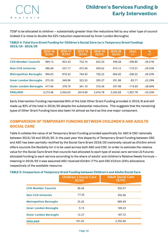TCGF to be allocated to children – substantially greater than the reductions felt by any other type of council (indeed it is close to double the 22% reduction experienced by Inner London Boroughs).

**TABLE 4:** *Total Core Grant Funding* **for Children's Social Care (w/o** *Temporary Grant Funding***) 2015/16 - 2019/20**

|                              | 2015-16<br>(E/m) | 2016-17<br>(E/m) | 2017-18<br>(E/m) | 2018-19<br>(E/m) | 2019-20<br>(E/m) | $(\text{Em})$<br>$+/-$ | $^{96}_{+/-}$ |
|------------------------------|------------------|------------------|------------------|------------------|------------------|------------------------|---------------|
| <b>CCN Member Councils</b>   | 989.13           | 853.33           | 733.16           | 653.33           | 598.28           | $-390.85$              | $-39.51%$     |
| <b>Non-CCN Unitaries</b>     | 586.44           | 527.17           | 472.94           | 439.62           | 413.12           | $-173.31$              | $-29.55\%$    |
| <b>Metropolitan Boroughs</b> | 904.65           | 818.32           | 744.93           | 702.22           | 664.42           | $-240.22$              | $-26.55%$     |
| <b>Inner London Boroughs</b> | 375.59           | 349.08           | 322.55           | 305.27           | 291.88           | $-83.71$               | $-22.29%$     |
| <b>Outer London Boroughs</b> | 417.66           | 378.74           | 341.10           | 316.34           | 297.98           | $-119.69$              | $-28.66%$     |
| <b>ENGLAND</b>               | 3.273.46         | 2,926.63         | 2614.68          | 2,416.78         | 2.265.68         | $-1.007.78$            | $-32.52%$     |

Early Intervention Funding represented 84% of the total Other Grant Funding provided in 2015/6 and still made up 82% of the total in 2019/20 despite the substantial reductions. This suggests that the remaining types of Other Grant Funding have also been hit almost as hard as this one major component.

#### *COMPARISON OF TEMPORARY FUNDING BETWEEN CHILDREN'S AND ADULTS SOCIAL CARE*

Table 5 collates the value of all Temporary Grant Funding provided specifically for ASC & CSC nationally between 2015/16 and 2019/20. In the past year this disparity of Temporary Grant Funding between CSC and ASC has been partially rectified by the Social Care Grant 2019/20 (nationally valued as £410m) which offers councils the flexibility for it to be used across both ASC *and* CSC. In order to estimate the relative value for the Social Care Grant that councils had allocated to each type of social care service LG Futures allocated funding to each service according to the share of adults' and children's Relative Needs Formula – meaning in 2019/20 it was assumed ASC received £316m (77%) and CSC £101m (23%) allocations respectively of the available resource.

|                              | <b>Children's Social Care</b><br>(E/m) | <b>Adult Social Care</b><br>(E/m) |
|------------------------------|----------------------------------------|-----------------------------------|
| <b>CCN Member Councils</b>   | 36.56                                  | 933.57                            |
| <b>Non-CCN Unitaries</b>     | 17.35                                  | 392.06                            |
| <b>Metropolitan Boroughs</b> | 25.26                                  | 689.49                            |
| <b>Inner London Boroughs</b> | 9.13                                   | 189.23                            |
| <b>Outer London Boroughs</b> | 12.27                                  | 187.72                            |
| <b>ENGLAND</b>               | 101.02                                 | 2,392.06                          |

**TABLE 5: Comparison of** *Temporary Grant Funding* **between Children's and Adults Social Care**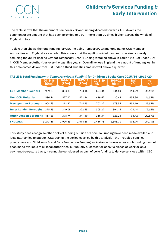The table shows that the amount of Temporary Grant Funding directed towards ASC dwarfs the commensurate amount that has been provided to CSC – more than 20 times higher across the whole of England in total.

Table 6 then shows the total funding for CSC including Temporary Grant Funding for CCN Member Authorities and England as a whole. This shows that the uplift provided has been marginal - merely reducing the 39.5% decline *without* Temporary Grant Funding (detailed above in Table 4) to just under 36% in CCN Member Authorities over the past five years. Overall across England the amount of funding lost in this time comes down from just under a third, but still remains well above a quarter.

| TABLE 6: Total Funding (with Temporary Grant Funding) for Children's Social Care 2015/16 - 2019/20 |                  |                  |                  |                  |                  |                        |                          |  |  |
|----------------------------------------------------------------------------------------------------|------------------|------------------|------------------|------------------|------------------|------------------------|--------------------------|--|--|
|                                                                                                    | 2015-16<br>(E/m) | 2016-17<br>(E/m) | 2017-18<br>(E/m) | 2018-19<br>(E/m) | 2019-20<br>(E/m) | $(\text{Em})$<br>$+/-$ | $\frac{\%}{\frac{1}{2}}$ |  |  |
| <b>CCN Member Councils</b>                                                                         | 989.13           | 853.33           | 733.16           | 653.34           | 634.84           | $-354.29$              | $-35.82%$                |  |  |
| <b>Non-CCN Unitaries</b>                                                                           | 586.44           | 527.17           | 472.94           | 439.62           | 430.48           | $-155.96$              | $-26.59%$                |  |  |
| <b>Metropolitan Boroughs</b>                                                                       | 904.65           | 818.32           | 744.93           | 702.22           | 673.55           | $-231.10$              | $-25.55%$                |  |  |
| <b>Inner London Boroughs</b>                                                                       | 375.59           | 349.08           | 322.55           | 305.27           | 304.15           | $-71.44$               | $-19.02%$                |  |  |
| <b>Outer London Boroughs</b>                                                                       | 417.66           | 378.74           | 341.10           | 316.34           | 323.24           | $-94.42$               | $-22.61%$                |  |  |
| <b>ENGLAND</b>                                                                                     | 3,273.46         | 2,926.63         | 2,614.68         | 2,416.78         | 2,366.70         | $-906.76$              | $-27.70%$                |  |  |

This study does recognise other pots of funding outside of Formula Funding have been made available to local authorities to support CSC during the period covered by this analysis - the Troubled Families programme and Children's Social Care Innovation Funding for instance. However, as such funding has not been made available to all local authorities, but usually allocated for specific pieces of work or on a payment-by-results basis, it cannot be considered as part of core funding to deliver services within CSC.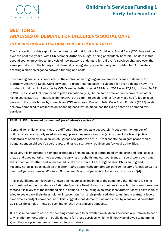

# **SECTION 2: ANALYSIS OF DEMAND FOR CHILDREN'S SOCIAL CARE**

#### *INTRODUCTION AND PwC ANALYSIS OF SPENDING NEED*

The first section of this report has demonstrated that funding for Children's Social Care (CSC) has reduced over the past five years, with CCN Member Authority budgets being particularly hard hit. The data in this second section provides an analysis of how patterns of demand for children's services changed over the same period – with the findings that demand is rising sharply, particularly in CCN Member Authorities, creating a clear divergence between funding and costs.

This funding analysis is conducted in the context of an ongoing and extensive increase in demand for statutory Children's Social Care services – a trend that has been in evidence for over a decade now. The number of children looked after by CCN Member Authorities at 31 March 2019 was 27,981, up from 24,421 in 2015 – a rise of 15% compared to just 12% nationally *[7]*. At the same time, councils have faced other rising costs, such as inflation. To demonstrate the extent to which funding for services has failed to keep pace with the costs borne by councils for CSC services in England, Total Core Grant Funding (TCGF) levels are now compared to estimates on 'spending need' which measures the rising costs and demand for services.

#### **PANEL 1:** *What is meant by 'demand' for children's services?*

'Demand' for children's services is a difficult thing to measure accurately. Most often the number of children in care is usually used as a rough proxy measure given that (a) it is one of the few objective indicators of need by children which figures are gathered on; (b) it represents the largest proportion of budget spent on children's social care; and (c) is a statutory requirement for local authorities.

However, it is important to remember that as a firm measure of actual need by children and families it is crude and does not take into account the varying thresholds and cultural trends in social work over time that impact on whether and when a child is taken into care. As the organisation Children England recenlty noted, a report such as this often *"talks about rising demand for care in the same language as the 'demand' for avocados or iPhones… But no one 'demands' for a child to be taken into care…" [8]*

This is significant as this report shows that resource is declining at the same time that demand is rising – as quantified within this study as Estimate Spending Need. Given the complex interaction between these two factors it is likely that the identified rise in demand is occurring even after local authorities will have initially tried to scale back their threshold for intervention from their preferred ideal to minimum statutory levels over time as budgets have reduced. This suggests that 'demand' – as measured by what would constitute 2014/15 thresholds – may be even higher than this analysis suggests.

It is also important to note that spending reductions to preventative children's services are unlikely to bear any relation to fluctuations in public demand for these services, which will mostly be allowed to go unmet given they are predominantly non-statutory in nature.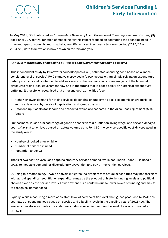

In May 2019, CCN published an *Independent Review of Local Government Spending Need and Funding [9]* (see Panel 2)*.* A central function of modelling for this report focused on estimating the spending need in different types of councils and, crucially, ten different services over a ten-year period (2015/16 – 2024/25) data from which is now drawn on for this analysis.

#### **PANEL 2:** *Methodology of modelling by PwC of Local Government spending patterns*

This independent study by PricewaterhouseCoopers (PwC) estimated spending need based on a 'more consistent level of service'. PwC's analysis provided a fairer measure than simply relying on expenditure data by councils and is intended to address some of the key limitations of an analysis of the financial pressures facing local government now and in the future that is based solely on historical expenditure patterns. It therefore recognised that different local authorities face:

- Higher or lower demand for their services, depending on underlying socio-economic characteristics such as demography, levels of deprivation, and geography; and
- Different input costs (for labour and property), which are reflected in the Area Cost Adjustment (ACA) factors.

Furthermore, it used a broad range of generic cost drivers (i.e. inflation, living wage) and *service-specific cost-drivers* at a tier level, based on actual volume data. For CSC the service-specific cost-drivers used in the study were:

- Number of looked after children
- Number of children in need
- Population under 18

The first two cost-drivers used capture statutory service demand, while population under 18 is used a proxy to measure demand for discretionary prevention and early intervention services.

By using this methodology, PwC's analysis mitigates the problem that actual expenditure may not correlate with actual spending need. Higher expenditure may be the product of historic funding levels and political choices over desired service levels. Lower expenditure could be due to lower levels of funding and may fail to recognise 'unmet needs'.

Equally, while measuring a more consistent level of service at tier level, the figures produced by PwC are estimates of spending need based on service and eligibility levels in the baseline year of 2015/16. The analysis therefore estimates the additional costs required to maintain the level of service provided at 2015/16.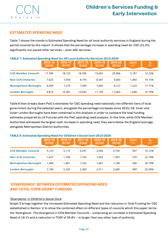

#### *ESTIMATED SPENDING NEED*

Table 7 shows the trends in Estimated Spending Need for all local authority services in England during the period covered by this report. It shows that the percentage increase in spending need for CSC (21.3%) significantly out-paced other services – even ASC services.

| TABLE 7: ESUINAIGU OPGNUNK NGGU IUI AN LUCUI AUUNTITY OGI VICGS ZUIJ-ZUZU<br>2016-17 |                  |        |                  |                  |                  |                        |                          |  |  |
|--------------------------------------------------------------------------------------|------------------|--------|------------------|------------------|------------------|------------------------|--------------------------|--|--|
|                                                                                      | 2015-16<br>(E/m) | (E/m)  | 2017-18<br>(E/m) | 2018-19<br>(E/m) | 2019-20<br>(E/m) | $(\text{Em})$<br>$+/-$ | $\frac{\%}{\frac{1}{2}}$ |  |  |
|                                                                                      |                  |        |                  |                  |                  |                        |                          |  |  |
| <b>CCN Member Councils</b>                                                           | 17.789           | 18,123 | 18,706           | 19,455           | 20,066           | 2.187                  | 12.23%                   |  |  |
| <b>Non-CCN Unitaries</b>                                                             | 7.623            | 7.959  | 8.195            | 8.547            | 9.083            | 1,460                  | 19.15%                   |  |  |
| <b>Metropolitan Boroughs</b>                                                         | 6.094            | 7.270  | 7.494            | 7.856            | 8.127            | 1,223                  | 17.71%                   |  |  |
| <b>London Boroughs</b>                                                               | 9,815            | 10,381 | 10.692           | 11,130           | 11,463           | 1.648                  | 16.79%                   |  |  |

#### **TABLE 7: Estimated Spending Need for** *All Local Authority Services* **2015-2020**

Table 8 then breaks down PwC's estimates for CSC spending need nationally into different tiers of local government during the selected years, alongside the percentage increases since 2015/16. Inner and Outer London Boroughs have been combined in this analysis in order to compare the total funding estimates prepared by LG Futures with the PwC spending need analysis. In this time, while CCN Member Authorities witnessed the largest cash increase in spending need, they were below the England average, alongside Metropolitan District Authorities.

#### **CCN Member Councils Non-CCN Unitaries Metropolitan Boroughs** 3,123 1,627 1,446 **2015-6 2015-16 (£/m) (£/m) 2016-17 (£/m) 2017-18 (£/m)** 1,708 1,481 3,119 1,532 1,762 3,297 *19.12% 22.74% 20.79%* **2018-19 (£/m)** 3,594 1,926 1,667 **2019-20 (£/m)** 3,720 1,997 1,746 **(£m) +/-** 597 370 300 **London Boroughs** 2,106 2,230 2,303 2,511 2,605 499 *23.69%* **% +/-**

#### **TABLE 8: Estimated Spending Need for** *Children's Social Care* **2015-2020**

#### *'DIVERGENCE' BETWEEN ESTIMATED SPENDING NEED AND TOTAL CORE GRANT FUNDING*

#### *'Divergence' in Children's Social Care*

Graph 3 brings together the increased Estimated Spending Need and the reduction in Total Funding for CSC (established in Section 1) to show the combined effect on different types of councils which this paper terms the 'divergence'. The divergence in CCN Member Councils – comprising an increase in Estimated Spending Need of 19.1% and a reduction in TCGF of 35.8% – is larger than any other type of authority.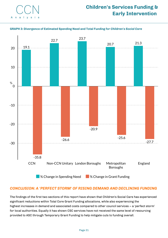

#### **GRAPH 3: Divergence of Estimated Spending Need and Total Funding for** *Children's Social Care*



#### *CONCLUSION: A 'PERFECT STORM' OF RISING DEMAND AND DECLINING FUNDING*

The findings of the first two sections of this report have shown that Children's Social Care has experienced significant reductions within Total Core Grant Funding allocations, while also experiencing the highest increases in demand and associated costs compared to other council services – a 'perfect storm' for local authorities. Equally it has shown CSC services have not received the same level of resourcing provided to ASC through Temporary Grant Funding to help mitigate cuts to funding overall.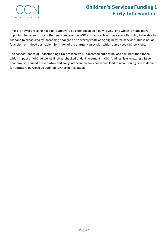

There is now a pressing need for support to be extended specifically to CSC; one which is made more important because in most other services, such as ASC, councils at least have some flexibility to be able to respond to pressures by increasing charges and severely restricting eligibility for services. This is not as feasible – or indeed desirable – for much of the statutory provision which comprises CSC services.

The consequences of underfunding CSC are less well understood but are no less pertinent than those which impact on ASC. At worst, if left unchecked underinvestment in CSC funding risks creating a false economy of reduced preventative and early intervention services which lead to a continuing rise in demand for statutory services as outlined further in this paper.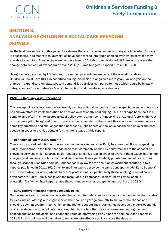

# **SECTION 3: ANALYSIS OF CHILDREN'S SOCIAL CARE SPENDING** *OVERVIEW*

As the first two sections of this paper has shown, the sharp rise in demand coming at a time when funding is decreasing, has meant local authorities have been forced into tough choices over which services they are able to maintain. In order to examine these trends CCN also commissioned LG Futures to assess the change between actual expenditure data in 2015/16 and budgeted expenditure in 2019/20.

Using the data provided by LG Futures, this section presents an analysis of the overall trends in Children's Social Care (CSC) expenditure during this period, alongside a more granular analysis on the change in expenditure on statutory and demand-led services compared to those which could be broadly categorised as 'preventative' or 'early intervention' and therefore discretionary.

#### **PANEL 3:** *Defining Early Intervention*

The concept of 'early intervention' ostensibly carries political support across the spectrum yet as this study has shown effective implementation has proved exceptionally challenging. This is perhaps because it is a complex and often misinterpreted area of policy due to a number of underlying structural factors, the root of which are yet to be agreed upon. To preface the remainder of the report this short section summarises some key questions and challenges that increased public debate on the issue has thrown up over the past decade, in order to provide context for the later stages of this report.

#### **Definition of 'Early Intervention'?**

There is no agreed definition – or even common term – to describe 'Early Intervention'. Broadly speaking 'Early Intervention' is the term that has been most commonly applied by policy makers to the concept of providing services which address social issues at an early stage in order to prevent them exacerbating into a larger (and costlier) problems further down the line. It was particularly popularised in political circles through Graham Allen MP's seminal Independent Review for the coalition government resulting in two reports published in 2011 *[10]*. Other terms in usage to describe the same concept include 'Early Support' and 'Preventative Services', whilst children's professionals – particularly those working in social care – often refer to 'Early Help' since it was the term used in Professor Eileen Munro's review of child protection *[11]* which has helped shape the current service landscape formed during the 2010s.

#### **Early Intervention as a macro-economic policy**

On the surface early intervention is a simple concept to understand – it reflects common sense that relates to us as individuals: e.g. one might service their car at a garage annually to minimize the chance of it breaking down at greater inconvenience and higher cost during a journey. However, as a macro-economic policy it is deceptively complicated – exemplified by the fact that, despite consensus among the main political parties on the social and economic value of intervening early since the seminal Allen reports in 2011 *[12]*, this political will has failed to translate into effective policy across the decade.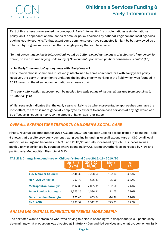

Part of this is because to embed the concept of 'Early Intervention' is problematic as a single national policy, as it is dependent on thousands of smaller policy decisions by national, regional and local agencies – such as county councils. To that extent some commentators have suggested it might be better viewed as a 'philosophy' of governance rather than a single policy that can be enacted:

"In that sense maybe [early intervention] would be better viewed as the basis of a strategic framework for *action, or even an underlying philosophy of Government upon which political consensus is built?" [13]*

#### **Is 'Early Intervention' synonymous with 'Early Years'?**

Early intervention is sometimes mistakenly intertwined by some commentators with early years policy. However, the Early Intervention Foundation, the leading charity working in the field (which was founded in 2013 based on the Allen recommendations), stresses that:

"The early intervention approach can be applied to a wide range of issues, at any age from pre-birth to *adulthood." [14]*

Whilst research indicates that the early years is likely to be where preventative approaches can have the most effect, the term is more generally employed by experts to encompass services at any age which can be effective in reducing harm, or the effects of harm, at a later stage.

#### *OVERALL EXPENDITURE TRENDS IN CHILDREN'S SOCIAL CARE*

Firstly, revenue account data for 2015/16 and 2019/20 has been used to assess trends in spending. Table 9 shows that despite previously demonstrating decline in funding, overall expenditure on CSC by all local authorities in England between 2015/16 and 2019/20 actually increased by 2.7%. This increase was particularly experienced by counties where spending by CCN Member Authorities increased by 4.8% and particularly Metropolitan Districts at 5.1%.

|                              | 2015-16<br>(E/m) | 2019-20<br>(E/m) | $(\text{Em})$ | %<br>$+/-$ |
|------------------------------|------------------|------------------|---------------|------------|
| <b>CCN Member Councils</b>   | 3,146.30         | 3.298.64         | 152.34        | 4.84%      |
| <b>Non-CCN Unitaries</b>     | 702.73           | 676.83           | $-25.90$      | $-3.68%$   |
| <b>Metropolitan Boroughs</b> | 1992.85          | 2,095.35         | 102.50        | 5.14%      |
| <b>Inner London Boroughs</b> | 1,575.26         | 1,586.31         | 11.05         | 0.70%      |
| <b>Outer London Boroughs</b> | 870.40           | 855.64           | $-14.76$      | $-1.70%$   |
| <b>ENGLAND</b>               | 8.287.54         | 8.512.77         | 225.23        | 2.72%      |

#### **TABLE 9: Change in expenditure on Children's Social Care 2015/16 - 2019/20**

#### *ANALYSING OVERALL EXPENDITURE TRENDS MORE DEEPLY*

The next step was to determine what was driving this rise in spending with deeper analysis – particularly determining what proportion was directed at Statutory/Demand-led services and what proportion on Early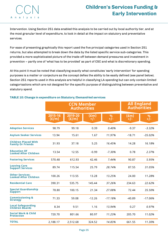# **Children's Services Funding & Early Intervention**

Intervention. Using Section 251 data enabled this analysis to be carried out by local authority tier, and at the most granular level of expenditure, to look in detail at the impact on statutory and preventative services.

For ease of presenting graphically this report used the five principal categories used in Section 251 returns, but also attempted to break down the data by the listed specific service sub-categories. This provided a more sophisticated picture of the trade-off between demand pressures and investment in prevention – partly one of 'what has to be provided' as part of CSC and what is discretionary spending.

At this point it must be noted that classifying exactly what constitutes 'early intervention' for spending purposes is a matter or conjecture as the concept defies the ability to be easily defined (see panel below). Section 251 reports used in this analysis are helpful in classifying LA spending but can only contain limited categorisations which are not designed for the specific purpose of distinguishing between preventative and statutory spend.

|                                                         |                  | <b>CCN Member</b><br><b>Authorities</b> | <b>All England</b><br><b>Authorities</b> |            |               |            |
|---------------------------------------------------------|------------------|-----------------------------------------|------------------------------------------|------------|---------------|------------|
|                                                         | 2015-16<br>(E/m) | 2019-20<br>(E/m)                        | $(\text{fm})$<br>$+/-$                   | %<br>$+/-$ | (£m)<br>$+/-$ | %<br>$+/-$ |
| <b>Adoption Services</b>                                | 98.79            | 99.18                                   | 0.39                                     | 0.40%      | $-9.37$       | $-3.32%$   |
| <b>Asylum Seeker Services</b>                           | 13.94            | 15.61                                   | 1.67                                     | 11.97%     | $-18.71$      | $-35.02%$  |
| <b>Children Placed With</b><br><b>Family Or Friends</b> | 31.93            | 37.18                                   | 5.25                                     | 16.45%     | 14.28         | 16.18%     |
| <b>Education Of</b><br><b>Looked After Children</b>     | 13.54            | 12.55                                   | $-0.99$                                  | $-7.30%$   | 0.78          | 2.37%      |
| <b>Fostering Services</b>                               | 570.48           | 612.93                                  | 42.46                                    | 7.44%      | 90.87         | 5.95%      |
| <b>Leaving Care</b><br><b>Support Services</b>          | 89.74            | 115.54                                  | 25.79                                    | 28.74%     | 87.55         | 31.05%     |
| <b>Other Services:</b><br><b>Looked After Children</b>  | 100.26           | 113.55                                  | 13.28                                    | 13.25%     | 24.00         | 11.28%     |
| <b>Residential Care</b>                                 | 390.31           | 535.75                                  | 145.44                                   | 37.26%     | 234.63        | 22.62%     |
| <b>Special Guardianship</b><br><b>Support</b>           | 78.80            | 100.15                                  | 21.34                                    | 27.08%     | 72.44         | 35.50%     |
| <b>Commissioning &amp;</b><br><b>Strategy</b>           | 71.33            | 59.08                                   | $-12.26$                                 | $-17.18%$  | $-40.89$      | $-17.06%$  |
| <b>Local Safeguarding</b><br>Children Boards            | 8.34             | 9.51                                    | 1.16                                     | 13.94%     | 0.27          | 0.97%      |
| <b>Social Work &amp; Child</b><br><b>Protection</b>     | 720.70           | 801.66                                  | 80.97                                    | 11.23%     | 205.70        | 11.02%     |
| <b>TOTAL</b>                                            | 2,188.17         | 2,512.68                                | 324.52                                   | 14.83%     | 661.55        | 11.30%     |

#### **TABLE 10: Change in expenditure on Statutory/Demand-led services**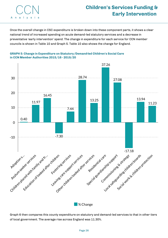

Once the overall change in CSC expenditure is broken down into these component parts, it shows a clear national trend of increased spending on acute demand-led statutory services and a decrease in preventative 'early intervention' spend. The change in expenditure for each service for CCN member councils is shown in Table 10 and Graph 5. Table 10 also shows the change for England.



#### **GRAPH 5: Change in Expenditure on Statutory/Demand-led Children's Social Care in CCN Member Authorities 2015/16 - 2019/20**

Graph 6 then compares this county expenditure on statutory and demand-led services to that in other tiers of local government. The average rise across England was 11.30%.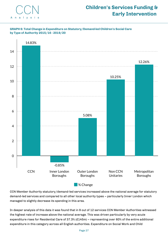





CCN Member Authority statutory/demand-led services increased above the national average for statutory demand-led services and compared to all other local authority types – particularly Inner London which managed to slightly decrease its spending in this area.

In deeper analysis of this data it was found that in 9 out of 12 services CCN Member Authorities witnessed the highest rate of increase above the national average. This was driven particularly by very acute expenditure rises for Residential Care of 37.3% (£145m) – representing over 60% of the entire additional expenditure in this category across all English authorities. Expenditure on Social Work and Child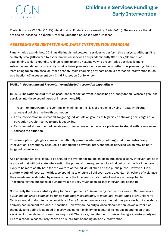

Protection rose £80.9m (11.2%) whilst that on Fostering increased by 7.4% (£42m). The only area that did not see an increase in expenditure was Education of Looked After Children.

#### *ASSESSING PREVENTATIVE AND EARLY INTERVENTION SPENDING*

Panel 4 helps explain how CCN has distinguished between services to perform this analysis. Although it is relatively straightforward to ascertain which services are predominantly Statutory/Demand-led, determining which expenditure lines relate largely or exclusively to preventative services is more subjective and depends on exactly what is being prevented – for example, whether it is preventing children from being taken into care, or, more broadly, from requiring any sort of child protection intervention (such as a Section 47 assessment or a Child Protection Conference).

#### **PANEL 4:** *Separating out Preventative and Early Intervention expenditure*

In 2013 The National Audit Office produced a report on what it described as 'early action', where it grouped services into three broad types of intervention *[15]*:

- $\cdot$  Prevention (upstream): preventing, or minimising the risk, of problems arising usually through universal policies like health promotion.
- Early intervention (midstream): targeting individuals or groups at high risk or showing early signs of a particular problem to try to stop it occurring.
- Early remedial treatment (downstream): intervening once there is a problem, to stop it getting worse and redress the situation.

This description highlights some of the difficulty posed in adequately defining what constitutes 'early intervention' particularly because it distinguishes between interventions or services which may be both targeted or universal.

At a philosophical level it could be argued the system for taking children into care is 'early intervention' as it is agreed that without state intervention the potential consequences of a child being harmed or killed are likely to be more costly both for the welfare of the individual child and the public purse. However, it is a statutory duty of local authorities, so spending to ensure all children above a certain threshold of risk have their needs met is dictated by means outside the local authority's control and are non-negotiable. Therefore for the purposes of our analysis it is very much seen as 'late intervention' spending.

Conversely there is a statutory duty for *"Arrangements to be made by local authorities so that there are sufficient children's centres, so far as reasonably practicable, to meet local need".* Sure Start Children's Centres would undoubtedly be considered Early Intervention services in what they provide, but it are also a delivery requirement for local authorities. However as the duty's loose classification leaves authorities themselves to define local need this provides some flexibility for a council to reduce spending on these services if other demand pressures require it. Therefore, despite their provision being a statutory duty on LAs this report classes Early Years and Sure Start spending as 'early intervention'.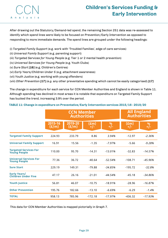# **CCN** A n a l v s i

# **Children's Services Funding & Early Intervention**

After drawing out the Statutory/Demand-led spend, the remaining Section 251 data was re-assessed to identify which spend lines were likely to be focused on Prevention/Early Intervention as opposed to responding to more immediate demands. The spend lines are grouped under the following headings:

- (i) *Targeted Family Support (*e.g. work with 'Troubled Families', edge of care services)
- (ii) *Universal Family Support* (e.g. parenting support)
- (iii) *Targeted Services for Young People* (e.g. Tier 1 or 2 mental health prevention)
- (iv) *Universal Services for Young People* (e.g. Youth Clubs)
- (v) *Sure Start [16]* (e.g. Children's Centres)
- (vi) *Early Years/Children Under 5* (e.g. attachment awareness)
- (vii) *Youth Justice* (e.g. working with young offenders)
- (viii) *Other Prevention [17] (e.g.* any other preventative spending which cannot be easily categorised) *[17]*

The change in expenditure for each service for CCN Member Authorities and England is shown in Table 11. Although spending has declined in most areas it is notable that expenditure on Targeted Family Support has bucked the trend, increasing 3.9% over the period.

|                                                      |                      | <b>CCN Member</b><br><b>Authorities</b> | <b>All England</b><br><b>Authorities</b> |                          |                        |                          |
|------------------------------------------------------|----------------------|-----------------------------------------|------------------------------------------|--------------------------|------------------------|--------------------------|
|                                                      | $2015 - 16$<br>(E/m) | 2019-20<br>(E/m)                        | (£m)<br>$+/-$                            | $\frac{\%}{\frac{1}{2}}$ | $(\text{fm})$<br>$+/-$ | $\frac{\%}{\frac{1}{2}}$ |
| <b>Targeted Family Support</b>                       | 224.93               | 233.79                                  | 8.86                                     | 3.94%                    | $-12.97$               | $-2.36%$                 |
| <b>Universal Family Support</b>                      | 16.91                | 15.56                                   | $-1.35$                                  | $-7.97%$                 | $-5.66$                | $-9.28%$                 |
| <b>Targeted Services For</b><br><b>Young People</b>  | 110.00               | 95.70                                   | $-14.31$                                 | $-13.01\%$               | $-32.83$               | $-14.57%$                |
| <b>Universal Services For</b><br><b>Young People</b> | 77.36                | 36.72                                   | $-40.64$                                 | $-52.54%$                | $-108.71$              | -45.96%                  |
| <b>Sure Start</b>                                    | 229.19               | 149.31                                  | $-79.88$                                 | $-34.85%$                | $-195.72$              | $-32.8%$                 |
| <b>Early Years/</b><br><b>Children Under Five</b>    | 47.17                | 26.16                                   | $-21.01$                                 | $-44.54%$                | $-45.18$               | -34.86%                  |
| <b>Youth Justice</b>                                 | 56.81                | 46.07                                   | $-10.75$                                 | $-18.91%$                | $-28.96$               | $-16.87%$                |
| <b>Other Prevention</b>                              | 195.76               | 182.66                                  | $-13.10$                                 | $-6.69%$                 | $-6.29$                | $-1.4%$                  |
| <b>TOTAL</b>                                         | 958.13               | 785.96                                  | $-172.18$                                | $-17.97%$                | $-436.32$              | $-17.93%$                |

#### **TABLE 11: Change in expenditure on Preventative/Early Intervention services 2015/16 - 2019/20**

This data for CCN Member Authorities is mapped pictorially in Graph 7.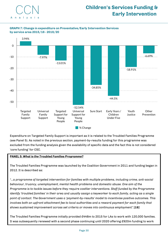#### **GRAPH 7: Change in expenditure on Preventative/Early Intervention Services by service area 2015/16 - 2019/20**



Expenditure on Targeted Family Support is important as it is related to the Troubled Families Programme (see Panel 5). As noted in the previous section, payment-by-results funding for this programme was excluded from the funding analysis given the availability of specific data and the fact this is not considered 'core funding' for CSC.

#### **PANEL 5:** *What is the Troubled Families Programme?*

The Troubled Families Programme was launched by the Coalition Government in 2011 and funding began in 2012. It is described as:

*"…a programme of targeted intervention for families with multiple problems, including crime, anti-social behaviour, truancy, unemployment, mental health problems and domestic abuse. One aim of the Programme is to tackle issues before they require costlier interventions. Staff funded by the Programme* identify 'troubled families' in their area and usually assign a keyworker to each family, acting as a single *point of contact. The Government uses a 'payment-by-results' model to incentivise positive outcomes. This involves both an upfront attachment fee to local authorities and a reward payment for each family that shows sustained improvement across set criteria or moves into continuous employment." [18]*

The Troubled Families Programme initially provided £448m to 2015 for LAs to work with 120,000 families. It was subsequently renewed with a second phase continuing until 2020 offering £920m funding to work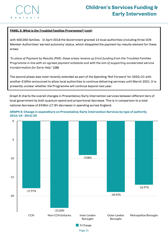

#### **PANEL 5:** *What is the Troubled Families Programme? (cont)*

with 400,000 families. In April 2018 the Government granted 14 local authorities (including three CCN Member Authorities) 'earned autonomy' status, which disapplied the payment-by-results element for these areas:

*"In place of Payment by Results (PbR), these areas receive up front funding from the Troubled Families Programme in line with an agreed payment schedule and with the aim of supporting accelerated service transformation for Early Help." [19]*

The second phase was most recently extended as part of the Spending 'Roll Forward' for 2020/21 with another £165m announced to allow local authorities to continue delivering services until March 2021. It is presently unclear whether the Programme will continue beyond next year.

Graph 8 charts the overall changes in Preventative/Early Intervention services between different tiers of local government by both quantum spend and proportional decrease. This is in comparison to a total national decrease of £436m (17.9% decrease) in spending across England.



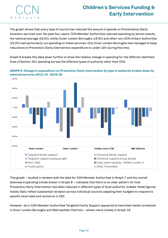

The graph shows that every type of council has reduced the amount it spends on Preventative/Early Invention services over the past four years. CCN Member Authorities reduced spending by almost exactly the national average (18.0%), whilst Outer London Boroughs (19.0%) and other non-CCN Unitary Authorities (23.2%) had particularly cut spending on these services. Only Inner London Boroughs had managed to keep reductions to Prevention/Early Intervention expenditure to under 10% during this time.

Graph 9 breaks this data down further to show the relative change in spending for the different identified lines of Section 251 spending across the different types of authority other than CCN.



**GRAPH 9: Change in expenditure on Prevention/Early Intervention by type of authority broken down by selected services 2015/16 - 2019/20**

This graph – studied in tandem with the data for CCN Member Authorities in Graph 7 and the overall downward spending trends shown in Graph 8 – indicates that there is no clear pattern for how Prevention/Early Intervention has been reduced in different types of local authority. Indeed, these figures mostly likely reflect substantial variation across individual councils adapting their budgets to respond to specific local need and concerns in CSC.

However, as in CCN Member Authorities Targeted Family Support appeared to have been better protected in Inner London Boroughs and Metropolitan Districts – shown more closely in Graph 10.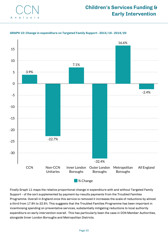



#### **GRAPH 10: Change in expenditure on Targeted Family Support - 2015/16 - 2019/20**

Finally Graph 11 maps the relative proportional change in expenditure with and without Targeted Family Support - of the sort supplemented by payment-by-results payments from the Troubled Families Programme. Overall in England once this service is removed it increases the scale of reductions by almost a third from 17.9% to 22.5%. This suggests that the Troubled Families Programme has been important in incentivising spending on preventative services, substantially mitigating reductions to local authority expenditure on early intervention overall. This has particularly been the case in CCN Member Authorities, alongside Inner London Boroughs and Metropolitan Districts.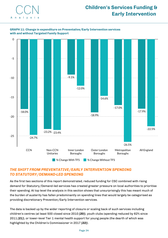

#### **GRAPH 11: Change in expenditure on Preventative/Early Intervention services with and without Targeted Family Support**



#### *THE SHIFT FROM PREVENTATIVE/EARLY INTERVENTION SPENDING TO STATUTORY/DEMAND-LED SPENDING*

As the first two sections of this report demonstrated, reduced funding for CSC combined with rising demand for Statutory/Demand-led services has created greater pressure on local authorities to prioritise their spending. At top level the analysis in this section shows that unsurprisingly this has meant much of the burden of austerity has fallen predominantly on spending lines that would largely be categorised as providing discretionary Prevention/Early Intervention services.

The data is backed up by the wider reporting of closure or scaling back of such services including children's centres (at least 500 closed since 2010 *[20]*), youth clubs (spending reduced by 62% since 2011 *[21]*), or lower-level Tier 1 mental health support for young people (the dearth of which was highlighted by the Children's Commissioner in 2017 *[22]*).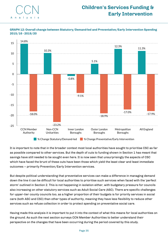





It is important to note that in the broader context most local authorities have sought to prioritise CSC as far as possible compared to other services. But the depth of cuts to funding shown in Section 1 has meant that savings have still needed to be sought even here. It is now seen that unsurprisingly the aspects of CSC which have faced the brunt of these cuts have been those which yield the least clear and least immediate outcomes – primarily Prevention/Early Intervention services.

But despite political understanding that preventative services can make a difference in managing demand down the line it can be difficult for local authorities to prioritise such services when faced with the 'perfect storm' outlined in Section 2. This is not happening in isolation either, with budgetary pressure for councils also increasing on other statutory services such as Adult Social Care (ASC). There are specific challenges for upper-tier county councils too, as a higher proportion of their budgets is for priority services in social care (both ASC and CSC) than other types of authority, meaning they have less flexibility to reduce other services such as refuse collection in order to protect spending on preventative social care.

Having made this analysis it is important to put it into the context of what this means for local authorities on the ground. As such the next section surveys CCN Member Authorities to better understand their perspective on the changes that have been occurring during the period covered by this study.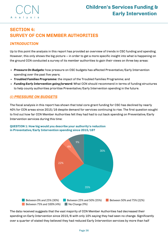

### **SECTION 4: SURVEY OF CCN MEMBER AUTHORITIES**

#### *INTRODUCTION*

Up to this point the analysis in this report has provided an overview of trends in CSC funding and spending. However, this only shows the big picture – in order to get a more specific insight into what is happening on the ground CCN conducted a survey of its member authorities to gain their views on three key areas:

- *Pressure On Budgets:* how pressure on CSC budgets has affected Preventative/Early Intervention spending over the past five years;
- *Troubled Families Programme:* the impact of the Troubled Families Programme; and
- *Funding Early Intervention going forward:* What CCN should recommend in terms of funding structures to help county authorities prioritise Preventative/Early Intervention spending in the future.

#### *(i) PRESSURE ON BUDGETS*

The fiscal analysis in this report has shown that total core grant funding for CSC has declined by nearly 40% for CCN areas since 2015/16 despite demand for services continuing to rise. The first question sought to find out how far CCN Member Authorities felt they had had to cut back spending on Preventative/Early Intervention services during this time:



#### **QUESTION 1: How big would you describe your authority's reduction in Preventative/Early Intervention spending since 2015/16?**

The data received suggests that the vast majority of CCN Member Authorities had decreased their spending on Early Intervention since 2015/6 with only 10% saying they had seen no change. Significantly over a quarter of stated they believed they had reduced Early Intervention services by more than half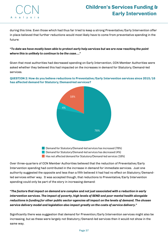

during this time. Even those which had thus far tried to keep a strong Preventative/Early Intervention offer in place believed that further reductions would most likely have to come from preventative spending in the future:

#### *"To date we have mostly been able to protect early help services but we are now reaching the point where this is unlikely to continue to be the case…."*

Given that most authorities had decreased spending on Early Intervention, CCN Member Authorities were asked whether they believed this had impacted on the increases in demand for Statutory/Demand-led services.

**QUESTION 2: How do you believe reductions to Preventative/Early Intervention services since 2015/16 has affected demand for Statutory/Demand-led services?**



**Demand for Statutory/Demand-led services has increased (78%) Demand for Statutory/Demand-led services has decreased (4%) Has not affected demand for Statutory/Demand-led services (18%)** 

Over three-quarters of CCN Member Authorities believed that the reduction of Preventative/Early Intervention spending had contributed in the increase in demand for immediate services. Just one authority suggested the opposite and less than a fifth believed it had had no effect on Statutory/Demandled services either way. It was accepted though, that reductions to Preventative/Early Intervention spending could only be part of the story in increasing demand:

*"The factors that impact on demand are complex and not just associated with a reduction in early intervention services. The impact of poverty, high levels of SEND and poor mental health alongside reductions in funding for other public sector agencies all impact on the levels of demand. The chosen service delivery model and legislation also impact greatly on the costs of service delivery."*

Significantly there was suggestion that demand for Prevention/Early Intervention services might also be increasing, but as these were largely not Statutory/Demand-led services then it would not show in the same way.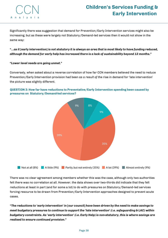

Significantly there was suggestion that demand for Prevention/Early Intervention services might also be increasing, but as these were largely not Statutory/Demand-led services then it would not show in the same way:

"…as it [early intervention] is not statutory it is always an area that is most likely to have funding reduced, *although the demand for early help has increased there is a lack of sustainability beyond 12 months."*

#### *"Lower level needs are going unmet."*

Conversely, when asked about a reverse correlation of how far CCN members believed the need to reduce Prevention/Early Intervention provision had been *as a result of* the rise in demand for 'late intervention' the picture was slightly different.



#### **QUESTION 3: How far have reductions to Preventative/Early Intervention spending been caused by pressures on Statutory/Demand-led services?**

There was no clear agreement among members whether this was the case, although only two authorities felt there was no correlation at all. However, the data shows over two-thirds did indicate that they felt reductions at least in part (and for some a lot) to do with pressures on Statutory/Demand-led services forcing resource to be drawn from Prevention/Early Intervention approaches designed to prevent acute cases.

"The reductions to 'early intervention' in [our council] have been driven by the need to make savings to *meet budgetary pressures to continue to support the 'late intervention' (i.e. safeguarding & LAC) within budgetary constraints. As 'early intervention' (i.e. Early Help) is non-statutory, this is where savings are realised to ensure continued provision."*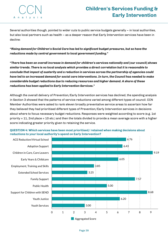

Several authorities though, pointed to wider cuts to public service budgets generally – in local authorities, but also local partners such as health – as a deeper reason that Early Intervention services have been in decline:

*"Rising demand for Children's Social Care has led to significant budget pressures, but so have the reductions made by central government to local government funding."*

*"There has been an overall increase in demand for children's services nationally and* **[our council]** *shows similar trends. There is no local analysis which provides a direct correlation but it is reasonable to conclude that impact of austerity and a reduction in services across the partnership of agencies could* have led to an increased demand for social care interventions. In turn, the Council has needed to make *considerable budget reductions due to reducing resources and higher demand. A share of these reductions has been applied to Early Intervention Services."*

Although the overall delivery of Prevention/Early Intervention services has declined, the spending analysis in Section 3 showed that the patterns of service reductions varied among different types of council. CCN Member Authorities were asked to rank eleven broadly preventative service areas to ascertain how far they believed they had prioritised different types of Prevention/Early Intervention services in decisions about where to focus necessary budget reductions. Responses were weighted according to score (e.g. 1st priority = 11, 2nd place = 10 etc.) and then the totals divided to provide a mean average score with a higher **Early Servicess Funding &**<br> **Early Intervention**<br> **Early Intervention**<br> **Early Intervention**<br> **Soveral authorities though, pointed to wider cuts to public service budgets generally – in local authorities.**<br> **Soveral autho** 



**QUESTION 4: Which services have been most prioritised/ retained when making decisions about reductions to your local authority's spend on Early Intervention?**

Page 39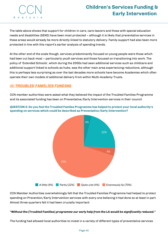# **CCN** A n a l v s

# **Children's Services Funding & Early Intervention**

The table above shows that support for children in care, care leavers and those with special education needs and disabilities (SEND) have been most protected – although it is likely that preventative services in these areas would already be more directly linked to statutory delivery. Family support had also been more protected in line with this report's earlier analysis of spending trends.

At the other end of the scale though, services predominantly focused on young people were those which had been cut back most – particularly youth services and those focused on transitioning into work. The policy of 'Extended Schools', which during the 2000s had seen additional services such as childcare and additional support linked to schools as hubs, was the other main area experiencing reductions, although this is perhaps less surprising as over the last decades more schools have become Academies which often operate their own models of additional delivery from within Multi-Academy Trusts.

#### *(ii) TROUBLED FAMILIES FUNDING*

CCN member authorities were asked what they believed the impact of the Troubled Families Programme and its associated funding has been on Preventative/Early Intervention services in their council.

**QUESTION 5: Do you feel the Troubled Familes Programme has helped to protect your local authority's spending on services which could be described as Preventative/Early Intervention?**



CCN Member Authorities overwhelmingly felt that the Troubled Families Programme had helped to protect spending on Prevention/Early Intervention services with every one believing it had done so at least in part. Almost three-quarters felt it had been crucially important:

#### *"Without the* **[Troubled Families]** *programme our early help from the LA would be significantly reduced."*

The funding had allowed local authorities to invest in a variety of different types of preventative services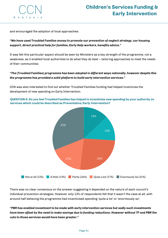

and encouraged the adoption of local approaches:

#### *"We have used Troubled Families money to promote our prevention of neglect strategy, our housing support, direct practical help for families, Early Help workers, benefits advice."*

It was felt this particular aspect should be seen by Ministers as a key strength of the programme, not a weakness, as it enabled local authorities to do what they do best – tailoring approaches to meet the needs of their communities:

#### *"The* **[Troubled Families]** *programme has been adopted in different ways nationally, however despite this the programme has provided a solid platform to build early intervention services."*

CCN was also interested to find out whether Troubled Families funding had helped incentivise the development of new spending on Early Intervention.

**QUESTION 6: Do you feel Troubled Families has helped to incentivise new spending by your authority on services which could be described as Preventative/Early Intervention?**



There was no clear consensus on the answer suggesting it depended on the nature of each council's individual prevention strategies. However only 13% of respondents felt that it wasn't the case at all, with around half believing the programme had incentivised spending 'quite a lot' or 'enormously so':

*"PBR has enabled investment to be made with early intervention services but sadly such investments* have been offset by the need to make savings due to funding reductions. However without TF and PBR the *cuts to those services would have been greater."*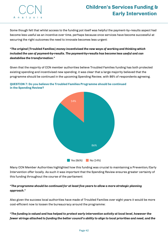

Some though felt that whilst access to the funding pot itself was helpful the payment-by-results aspect had become less useful as an incentive over time, perhaps because once services have become successful at securing the right outcomes the need to innovate becomes less urgent:

*"The original* **[Troubled Families]** *money incentivised the new ways of working and thinking which included the use of payment-by-results. The payment-by-results has become less useful and can destabilise the transformation."*

Given that the majority of CCN member authorities believe Troubled Families funding has both protected existing spending and incentivised new spending, it was clear that a large majority believed that the programme should be continued in the upcoming Spending Review, with 86% of respondents agreeing.



**QUESTION 7: Do you believe the Troubled Families Programme should be continued in the Spending Review?**

Many CCN Member Authorities highlighted how this funding was crucial to maintaining a Prevention/Early Intervention offer locally. As such it was important that the Spending Review ensures greater certainty of this funding throughout the course of the parliament:

#### *"The programme should be continued for at least five years to allow a more strategic planning approach."*

Also given the success local authorities have made of Troubled Families over eight years it would be more cost-efficient now to loosen the bureaucracy around the programme:

#### *"The funding is valued and has helped to protect early intervention activity at local level, however the* fewer strings attached to funding the better council's ability to align to local priorities and need, and the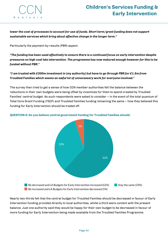

*lower the cost of processes to account for use of funds. Short term/grant funding does not support sustainable services which bring about effective change in the longer term."*

Particularly the payment-by-results (PBR) aspect:

*"The funding has been used effectively to ensure there is a continued focus on early intervention despite pressures on high cost late intervention. The programme has now matured enough however for this to be funded without PBR."*

*"I am trusted with £200m investment in* **[my authority]** *but have to go through PBR for £1.5m from Troubled Families which seems an awful lot of unnecessary work for everyone involved."*

The survey then tried to get a sense of how CCN member authorities felt the balance between the reductions in their own budgets were being offset by incentives for them to spend created by Troubled Families' central budget. As such respondents were asked to consider – in the event of the total quantum of Total Core Grant Funding (TGCF) and Troubled Families funding remaining the same – how they believed this funding for Early Intervention should be traded off.



#### **QUESTION 8: Do you believe central government funding for Troubled Families should:**

Nearly two-thirds felt that the central budget for Troubled Families should be decreased in favour of Early Intervention funding provided directly to local authorities, whilst a third were content with the present balance. Just one authority said they would be happy for their own budget to be decreased in favour of more funding for Early Intervention being made available from the Troubled Families Programme.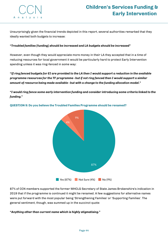

Unsurprisingly given the financial trends depicted in this report, several authorities remarked that they ideally wanted both budgets to increase:

#### *"Troubled families* **[funding]** *should be increased and LA budgets should be increased"*

However, even though they would appreciate more money in their LA they accepted that in a time of reducing resources for local government it would be particularly hard to protect Early Intervention spending unless it was ring-fenced in some way:

If ring fenced budgets for EI are provided to the LA then I would support a reduction in the available " *programme resources for the TF programme - but if not ring fenced then I would support a similar amount of resource being made available - but with a change to the funding allocation model."*

*"I would ring fence some early intervention funding and consider introducing some criteria linked to the funding."*



**QUESTION 9: Do you believe the Troubled Families Programme should be renamed?**

87% of CCN members supported the former MHCLG Secretary of State James Brokenshire's indication in 2019 that if the programme is continued it might be renamed. A few suggestions for alternative names were put forward with the most popular being 'Strengthening Families' or 'Supporting Families'. The general sentiment, though, was summed up in the succinct quote:

*"Anything other than current name which is highly stigmatising."*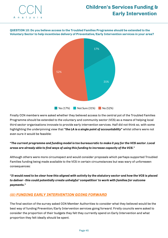

**QUESTION 10: Do you believe access to the Troubled Families Programme should be extended to the Voluntary Sector to help incentivise delivery of Preventative/Early Intervention services in your area?**



Finally CCN members were asked whether they believed access to the central pot of the Troubled Families Programme should be extended to the voluntary and community sector (VCS) as a means of helping local third sector organisations innovate to provide early intervention services. Half did not think so, with some highlighting the underpinning view that *"the LA is a single point of accountability"* whilst others were not even sure it would be feasible:

#### "The current programme and funding model is too bureaucratic to make it pay for the VCS sector. Local *areas are already able to find ways of using this funding to increase capacity of the VCS."*

Although others were more circumspect and would consider proposals which perhaps supported Troubled Families funding being made available to the VCS in certain circumstances but was wary of unforeseen consequences:

"It would need to be clear how this aligned with activity by the statutory sector and how the VCS is placed *to deliver - this could potentially create unhelpful 'competition' to work with families for outcome payments."*

#### *(iii) FUNDING EARLY INTERVENTION GOING FORWARD*

The final section of the survey asked CCN Member Authorities to consider what they believed would be the best way of funding Prevention/Early Intervention services going forward. Firstly councils were asked to consider the proportion of their budgets they felt they currently spend on Early Intervention and what proportion they felt ideally *should* be spent.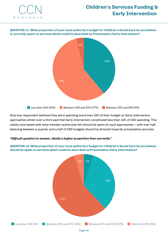

**QUESTION 11: What proportion of your local authority's budget for Children's Social Care do you believe is currently spent on services which could be described as Preventative/Early Intervention?**



Only one respondent believed they were spending more than 25% of their budget on Early Intervention approaches whilst over a third said that Early Intervention constituted less than 10% of CSC spending. This reality contrasted with what member authorities felt *should* be spent on such approaches – with over half believing between a quarter and a half of CSC budgets should be directed towards preventative services:

#### *"Difficult question to answer, ideally a higher proportion than currently."*

**QUESTION 12: What proportion of your local authority's budget for Children's Social Care do you believe should be spent on services which could be described as Preventative/Early Intervention?**

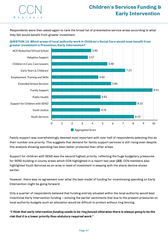Respondents were then asked again to rank the broad list of preventative service areas according to what they felt would benefit from greater investment.



**CCN** 

A n a l y s



Family support was overwhelmingly deemed most important with over half of respondents selecting this as their number one priority. This suggests that demand for family support services is still rising even despite this analysis showing spending has been better protected than other areas.

Support for children with SEND was the second highest priority, reflecting the huge budgetary pressures for SEND building in county areas which CCN highlighted in a report last year *[23]*. CCN members also highlighted Youth Services as an area in need of investment in keeping with the sharp decline shown earlier.

However, there was no agreement over what the best model of funding for incentivising spending on Early Intervention might be going forward.

Only a quarter of respondents believed that funding entirely situated within the local authority would best incentivise Early Intervention funding – echoing the earlier sentiments that due to the present pressures on local authority budgets such an allocation would be difficult to protect without ring fencing.

"I think that early intervention funding needs to be ring fenced otherwise there is always going to be the *risk that it is a lower priority than statutory required work."*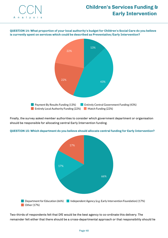

**QUESTION 14: What proportion of your local authority's budget for Children's Social Care do you believe is currently spent on services which could be described as Preventative/Early Intervention?**



Finally, the survey asked member authorities to consider which government department or organisation should be responsible for allocating central Early Intervention funding.



#### **QUESTION 15: Which department do you believe should allocate central funding for Early Intervention?**

Two-thirds of respondents felt that DfE would be the best agency to co-ordinate this delivery. The remainder felt either that there should be a cross-departmental approach or that responsibility should lie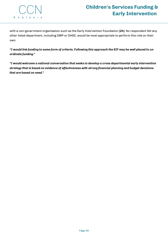

with a non-government organisation such as the Early Intervention Foundation *[24]*. No respondent felt any other listed department, including DWP or DHSC, would be most appropriate to perform this role on their own.

"I would link funding to some form of criteria. Following this approach the EIF may be well placed to co*ordinate funding."*

*"I would welcome a national conversation that seeks to develop a cross departmental early intervention strategy that is based on evidence of effectiveness with strong financial planning and budget decisions that are based on need."*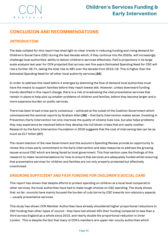

### **CONCLUSION AND RECOMMENDATIONS**

#### *INTRODUCTION*

The data collated for this report has shed light on clear trends in reducing funding and rising demand for Children's Social Care (CSC) during the last decade which, if they continue into the 2020s, will increasingly challenge local authorities' ability to deliver children's services effectively. PwC's projections in its large scale analysis last year for CCN projected that across next five years Estimated Spending Need for CSC will rise a further 26.7%, taking the total rise to 48% over the decade from 2015/16. This is higher than the Estimated Spending Need for all other local authority services *[25]*.

In order to address this need before it emerges by stemming the flow of demand local authorities must have the means to support families before they reach lowest ebb. However, unless downward funding trends identified in this report change, there is a risk of eradicating the vital preventative services that remain in place to help pick up smaller problems of children and families, before they become larger and a more expensive burden on public services.

There has been broad cross-party consensus – achieved at the outset of the Coalition Government which commissioned the seminal reports by Graham Allen *[26]* – that Early Intervention makes sense. Investing in Prevention/Early Intervention not only improves the quality of citizens lives now, but also helps problems they may experience be resolved before they develop into full blown crises that are vastly costlier. Research by the Early Intervention Foundation in 2016 suggests that the cost of intervening late can be as much as £17 billion *[27]*.

The recent election of the new Government and this autumn's Spending Review provide an opportunity to renew this cross-party commitment to the Early Intervention and take measures to address the growing issues around CSC which are being faced by local government. This final section uses the findings of this research to make recommendations for how to ensure that services are adequately funded whilst ensuring that preventative services for children and families are not only properly protected but effectively incentivised.

#### *ENSURING SUFFICIENT AND FAIR FUNDING FOR CHILDREN'S SOCIAL CARE*

This report has shown that despite efforts to protect spending on children at a local level compared to other services, the local authorities have had to make tough choices on CSC spending. The study shows that, so far, councils have mainly focused the burden of cuts borne by CSC towards non-statutory aspects – usually preventative services.

This study has shown CCN Member Authorities have already shouldered higher proportional reductions to CSC funding than other types of council - they have lost almost 40% their funding compared to less than a third across England as a whole since 2015, and nearly double the proportional reduction in Inner London. This is despite the fact that many of CCN's members are upper-tier county authorities which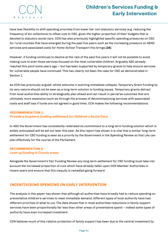# **Children's Services Funding & Early Intervention**

have less flexibility to shift spending priorities from lower tier non-statutory services (e.g. reducing the frequency of bin collections) to offset cuts to CSC, given the higher proportion of their budgets that is devoted to statutory social care. CCN has also previously highlighted specific spending pressures on CSC for rural counties that have emerged during the past five years such as the increasing pressure on SEND services and associated costs for Home-School Transport this brings *[28]*.

However, if funding continues to decline at the rate of the past five years it will not be possible to avoid making cuts to even those services focused on the most vulnerable children. Arguably ASC already reached this point some years ago – but has been supported by temporary grants to help ensure services for vulnerable people have continued. This has clearly not been the case for CSC as demonstrated in Section 1.

As CCN has previously argued, whilst welcome in averting immediate collapse, Temporary Grant Funding by its very nature should not be seen as a long-term solution to funding issues. Temporary grants detract from local authorities ability to strategically plan ahead and can result in perverse outcomes that are ultimately more expensive (such as through the process of decommissioning services with associated costs and staff loss if funds are not agreed in good time). CCN makes the following recommendations:

#### *RECOMMENDATION 1: Provide a long-term funding settlement for Children's Social Care*

In ASC the Government has consistently reiterated its commitment to a long-term funding solution which is widely anticipated will be set out later this year. As this report has shown it is vital that a similar long-term settlement for CSC funding is seen as a priority by the Government in the Spending Review so that LAs can plan effectively for the course of the Parliament.

#### *RECOMMENDATION 2: Level up funding in County areas*

Alongside the Government's Fair Funding Review any long-term settlement for CSC funding must take into account the increased proportion of cuts which have already fallen upon CCN Member Authorities in recent years and ensure that this inequity is remedied going forward.

#### *INCENTIVISING SPENDING ON EARLY INTERVENTION*

The analysis in this paper has shown that although all authorities have broadly had to reduce spending on preventative children's services to meet immediate demand, different types of local authority have had different priorities of what to cut. The data shows that in most authorities reductions in family support services have been proportionally far less than other areas of preventative spend – indeed some types of authority have even increased investment.

CCN believes much of this relative protection of family support has been due to the central investment by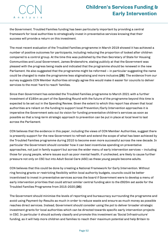# **Children's Services Funding & Early Intervention**

the Government. Troubled Families funding has been particularly important by providing a central framework for local authorities to strategically invest in preventative services knowing that their success will provide a return on this investment.

The most recent evaluation of the Troubled Families programme in March 2019 showed it has achieved a number of positive outcomes for participants, including reducing the proportion of looked after children compared to a control group. At the time this was published by the then Secretary of State for Housing Communities and Local Government, James Brokenshire, stating publicly at that the Government was pleased with the progress being made and indicated that the programme should be renewed in the new Parliament. He also suggested that the programme might be reformed – in particular suggesting the name could be changed to make the programme less stigmatising and more inclusive *[29]*. The evidence from our survey suggests CCN Member Authorities strongly agree this would make it easier for councils to deliver services to the most 'hard to reach' families.

Since then Government has extended the Troubled Families programme to March 2021 with a further investment of £165m as part of the Spending Round with the future of the programme beyond this time is expected to be set out in the Spending Review. Given the extent to which this report has shown that local authorities are reliant on the funding to support local Prevention/Early Intervention approaches it is imperative the Government sets out its vision for funding preventative children's services as soon as possible so that a long-term strategic approach to prevention can be put in place at local level to last across the Parliament.

CCN believes that the evidence in this paper, including the views of CCN Member Authorities, suggest there is presently support for the new Government to refresh and extend the scope of what has been achieved by the Troubled Families programme during 2010 to become even more successful across the new decade. In particular the Government should consider how it can best incentivise spending on preventative approaches, not just in family support but across the wider menu of early intervention services – including those for young people, where issues such as poor mental health, if unchecked, are likely to cause further pressure not only on CSC but into Adult Social Care (ASC) as these young people become adults.

CCN believes that this could be done by creating a National Framework for Early Intervention. Without ring fencing grants or restricting flexibility within local authority budgets, councils could be better incentivised to invest in preventative services across the board if Government were to develop a menu of early intervention priorities that could attract similar central funding akin to the £920m set aside for the Troubled Families Programme from 2015-2020 *[30]*.

The Government should minimise the levels of reporting and bureaucracy surrounding the programme and avoid using Payment-by-Results as much in order to reduce waste and ensure as much money as possible reaches direct services. Instead, Government should consider using the pot to deliver broader strategic investment grants for local authorities which can be directed towards specific early intervention projects in CSC. In particular it should actively classify and promote this investment as 'Social Infrastructure' funding, as it will help more children and families to reach their maximum potential and help Britain to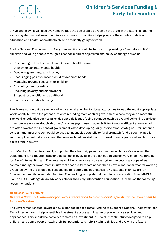# **Children's Services Funding & Early Intervention**

thrive and grow. It will also over time reduce the social care burden on the state in the future in just the same way that capital investment in, say, schools or hospitals helps prepare the country to deliver education and health more effectively and efficiently going forward.

Such a National Framework for Early Intervention should be focused on providing a 'best start in life' for children and young people through a broader menu of objectives and policy challenges such as:

- Responding to low-level adolescent mental health issues
- Improving parental mental health
- Developing language and literacy
- Encouraging positive parent/child attachment bonds
- Managing trauma recovery for children
- Promoting healthy eating
- Reducing poverty and employment
- Supporting transitions to adulthood
- Securing affordable housing

The Framework must be simple and aspirational allowing for local authorities to lead the most appropriate work locally but with the potential to obtain funding from central government where they are successful. The work should also seek to prioritise specific issues facing counties, such as around delivering services in remote areas or to 'doubly deprived' families (e.g. those in poverty living in more affluent areas) which are often overlooked by central government when developing Early Intervention strategies – for instance central funding of this sort could be used to incentivise councils to fund or match fund a specific mobile youth employment initiative in an otherwise isolated coastal town, or develop early years outreach in rural parts of their county.

CCN Member Authorities clearly supported the idea that, given its expertise in children's services, the Department for Education (DfE) should be more involved in the distribution and delivery of central funding for Early Intervention and Preventative children's services. However, given the potential scope of such central funding for investment in different areas CCN recommends that a new cross-departmental working group led by the DfE should be responsible for setting the boundaries for a National Framework for Intervention and its associated funding. The working group should include representation from MHCLG, DWP and DHSC alongside an advisory role for the Early Intervention Foundation. CCN makes the following recommendations:

#### *RECOMMENDATION 3: Create a National Framework for Early Intervention to direct Social Infrastructure investment to local authorities*

The Government should devote a new expanded pot of central funding to support a National Framework for Early Intervention to help incentivise investment across a full range of preventative services and approaches. This should be actively promoted as investment in 'Social Infrastructure' designed to help children and young people reach their full potential and help Britain to thrive and grow in the future.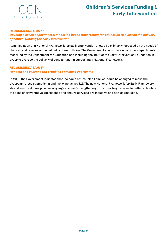

#### *RECOMMENDATION 4:*

#### *Develop a cross-departmental model led by the Department for Education to oversee the delivery of central funding for early intervention*

Administration of a National Framework for Early Intervention should be primarily focussed on the needs of children and families and what helps them to thrive. The Government should develop a cross-departmental model led by the Department for Education and including the input of the Early Intervention Foundation in order to oversee the delivery of central funding supporting a National Framework.

#### *RECOMMENDATION 5:*

#### *Rename and rebrand the Troubled Families Programme*

In 2019 the Government indicated that the name of 'Troubled Families' could be changed to make the programme less stigmatising and more inclusive *[31]*. The new National Framework for Early Framework should ensure it uses positive language such as 'strengthening' or 'supporting' families to better articulate the aims of preventative approaches and ensure services are inclusive and non-stigmatising.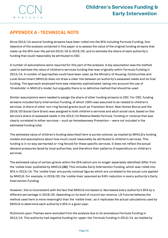

### **APPENDIX A - TECHNICAL NOTE**

Since 2013/14 several funding streams have been rolled into the SFA including Formula Funding. One objective of the analysis contained in this paper is to assess the value of the original funding streams that made up the SFA over the period 2015/16 to 2019/20, and to estimate the share of each authority's funding that could reasonably be attributed to CSC.

A number of assumptions were required for this part of the analysis. A key assumption was the method used to estimate the value of children's services funding that was originally within Formula Funding in 2013/14. A number of approaches could have been used, as the Ministry of Housing, Communities and Local Government (MHCLG) does not draw a clear link between an authority's assessed needs and its final funding. The approach employed here was relatively sophisticated, taking into account the use of 'thresholds' in MHCLG's model, but arguably there is no definitive method that should be used.

Similar assumptions were needed to assign the share of other funding streams to CSC. For CSC, funding streams included Early Intervention Funding, of which 100% was assumed to be related to children's services. A share of other non-ring fenced grants (such as Transition Grant, New Homes Bonus and the 2019/20 Social Care Grant) was assigned to both children's services and adult social care, based on this service's share of assessed needs in the 2013/14 Relative Needs Formula. Funding or revenue that was clearly unrelated to either services – such as Homelessness Prevention – were not included in the estimated funding total.

The estimated value of children's funding described here is purely notional, as implied by MHCLG's funding models and assumptions about how much could reasonably be attributed to children's services. This funding is in no way earmarked or ring fenced for these specific services. It does not reflect the actual demand pressures faced by local authorities, and therefore their patterns of expenditure on children's services.

The estimated value of certain grants within the SFA (which are no longer separately identified) differ from the 'visible lines' published by MHCLG *[32]*. This includes Early Intervention Funding, which was rolled into SFA in 2013/14. The 'visible lines' are purely notional figures which are unrelated to the actual cuts applied by MHCLG. For example, in 2019/20, the 'visible lines' assumed an 8.6% reduction in every authority's Early Intervention Funding.

However, this is inconsistent with the fact that MHCLG increased or decreased every authority's SFA by a different percentage in 2019/20, depending on its level of council tax revenue. LG Futures believes the method used here is more meaningful than the 'visible lines', as it replicates the actual calculations used by MHCLG to determine each authority's SFA in a given year.

Richmond-upon-Thames were excluded from the analysis due to its anomalous Formula Funding in 2013/14. This authority had *negative* funding for upper-tier Formula Funding in 2013/14, as implied by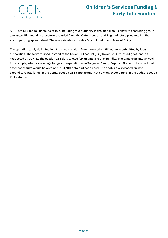# **Children's Services Funding & Early Intervention**

MHCLG's SFA model. Because of this, including this authority in the model could skew the resulting group averages. Richmond is therefore excluded from the Outer London and England totals presented in the accompanying spreadsheet. The analysis also excludes City of London and Isles of Scilly.

The spending analysis in Section 2 is based on data from the section 251 returns submitted by local authorities. These were used instead of the Revenue Account (RA)/Revenue Outturn (RO) returns, as requested by CCN, as the section 251 data allows for an analysis of expenditure at a more granular level – for example, when assessing changes in expenditure on Targeted Family Support. It should be noted that different results would be obtained if RA/RO data had been used. The analysis was based on 'net' expenditure published in the actual section 251 returns and 'net current expenditure' in the budget section 251 returns.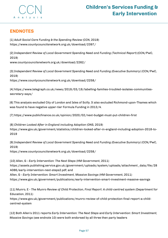

### **ENDNOTES**

[1] *Adult Social Care Funding & the Spending Review* (CCN, 2019) <https://www.countycouncilsnetwork.org.uk/download/2397/>

[2] *Independent Review of Local Government Spending Need and Funding (Technical Report)* **(**CCN/PwC, 2019)

[www.countycouncilsnetwork.org.uk/download/2262/](https://www.telegraph.co.uk/news/2019/03/19/labelling-families-troubled-isolates-communities-secretary-says/)

[3] *Independent Review of Local Government Spending Need and Funding (Executive Summary)* (CCN/PwC, 2019)

<https://www.countycouncilsnetwork.org.uk/download/2258/>

[4] [https://www.telegraph.co.uk/news/2019/03/19/labelling-families-troubled-isolates-communities](https://www.telegraph.co.uk/news/2019/03/19/labelling-families-troubled-isolates-communities-secretary-says/)secretary-says/

[6] This analysis excluded City of London and Isles of Scilly. It also excluded Richmond-upon-Thames which was found to have negative upper-tier Formula Funding in 2013/4.

[7] <https://www.publicfinance.co.uk/opinion/2020/02/next-budget-must-put-children-first>

[8] *Children Looked After in England including Adoption* (ONS, 2019) [https://www.gov.uk/government/statistics/children-looked-after-in-england-including-adoption-2018-to-](https://www.gov.uk/government/statistics/children-looked-after-in-england-including-adoption-2018-to-2019)2019

[9] *Independent Review of Local Government Spending Need and Funding (Executive Summary)* (CCN/PwC, 2019)

<https://www.countycouncilsnetwork.org.uk/download/2258/>

[10] Allen, G - *Early Intervention: The Next Steps* (HM Government, 2011) [https://assets.publishing.service.gov.uk/government/uploads/system/uploads/attachment\\_data/file/28](https://assets.publishing.service.gov.uk/government/uploads/system/uploads/attachment_data/file/284086/early-intervention-next-steps2.pdf) 4086/early-intervention-next-steps2.pdf; and Allen, G - *Early Intervention: Smart Investment, Massive Savings* (HM Government, 2011) <https://www.gov.uk/government/publications/early-intervention-smart-investment-massive-savings>

[11] Munro, E - *The Munro Review of Child Protection, Final Report: A child-centred system* (Department for Education, 2011)

[https://www.gov.uk/government/publications/munro-review-of-child-protection-final-report-a-child](https://www.gov.uk/government/publications/munro-review-of-child-protection-final-report-a-child-centred-system)centred-system

[12] Both Allen's 2011 reports *Early Intervention: The Next Steps* and *Early Intervention: Smart Investment, Massive Savings* (see endnote 10) were both endorsed by all three then party leaders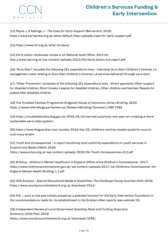

[13] Payne, L & Rallings, J - *The Case for Early Support* (Barnardo's, 2016) <https://www.barnardos.org.uk/sites/default/files/uploads/case-for-early-support.pdf>

[14] <https://www.eif.org.uk/what-its-about>

[15] *Early action: landscape review* p.10 (National Audit Office, 2013 (b)) <http://www.nao.org.uk/wp-content/uploads/2013/03/Early-Action-full-report.pdf>

[16] "Sure Start" included the following 251 expenditure lines - Individual Sure Start Children's Centres; LA management costs relating to Sure Start Children's Centres; LA services delivered through sure start.

[17] "Other Prevention" consisted of the following 251 expenditure lines - Direct payments; Other support for disabled children; Short breaks (respite) for disabled children; Other children and families; Respite for looked after disabled children.

[18] The Troubled Families Programme (England) (House of Commons Library Briefing, 2020) <https://researchbriefings.parliament.uk/ResearchBriefing/Summary/CBP-7585>

[19] [https://troubledfamilies.blog.gov.uk/2019/05/03/earned-autonomy-one-year-on-creating-a-more](https://troubledfamilies.blog.gov.uk/2019/05/03/earned-autonomy-one-year-on-creating-a-more-sustainable-early-help-system/)sustainable-early-help-system/

[20] [https://www.theguardian.com/society/2018/feb/20/childrens-centres-closed-austerity-council](https://www.theguardian.com/society/2018/feb/20/childrens-centres-closed-austerity-council-cuts-tracy-brabin)cuts-tracy-brabin

[21] *Youth And Consequences - A report examining local authority expenditure on youth services in England and Wales* (YMCA, 2018) <https://www.ymca.org.uk/wp-content/uploads/2018/04/Youth-Consequences-v0.2.pdf>

[22] *Briefing - Children's Mental Healthcare in England* (Office of the Children's Commissioner, 2017) [https://www.childrenscommissioner.gov.uk/wp-content/uploads/2017/10/Childrens-Commissioner-for-](https://www.childrenscommissioner.gov.uk/wp-content/uploads/2017/10/Childrens-Commissioner-for-England-Mental-Health-Briefing-1.1.pdf)England-Mental-Health-Briefing-1.1.pdf

[23] *CCN Analysis - Special Educational Needs & Disabilities: The Challenge Facing Counties* (CCN, 2019) <https://www.countycouncilsnetwork.org.uk/download/2314/>

[24] N.B. – such a role was initially scoped as a potential function for the Early Intervention Foundation in the recommendations made for its establishment in the Graham Allen reports (see endnote 10).

[25] *Independent Review of Local Government Spending Need and Funding (Executive Summary)* (CCN/PwC, 2019) <https://www.countycouncilsnetwork.org.uk/download/2258/>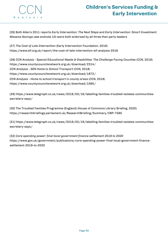# **Children's Services Funding & Early Intervention**

[26] Both Allen's 2011 reports *Early Intervention: The Next Steps* and *Early Intervention: Smart Investment, Massive Savings* (see endnote 10) were both endorsed by all three then party leaders

[27] *The Cost of Late Intervention* (Early Intervention Foundation, 2016) <https://www.eif.org.uk/report/the-cost-of-late-intervention-eif-analysis-2016>

[28] *CCN Analysis - Special Educational Needs & Disabilities: The Challenge Facing Counties* (CCN, 2019) <https://www.countycouncilsnetwork.org.uk/download/2314/> *CCN Analysis - SEN Home to School Transport* (CCN, 2018) <https://www.countycouncilsnetwork.org.uk/download/1872/> *CCN Analysis - Home to school transport in county areas* (CCN, 2018) <https://www.countycouncilsnetwork.org.uk/download/1585/>

[29] [https://www.telegraph.co.uk/news/2019/03/19/labelling-families-troubled-isolates-communities](https://researchbriefings.parliament.uk/ResearchBriefing/Summary/CBP-7585)secretary-says/

[30] The Troubled Families Programme (England) (House of Commons Library Briefing, 2020) <https://researchbriefings.parliament.uk/ResearchBriefing/Summary/CBP-7585>

[31] [https://www.telegraph.co.uk/news/2019/03/19/labelling-families-troubled-isolates-communities](https://researchbriefings.parliament.uk/ResearchBriefing/Summary/CBP-7585)secretary-says/

[32] *Core spending power: final local government finance settlement 2019 to 2020* [https://www.gov.uk/government/publications/core-spending-power-final-local-government-finance](https://www.gov.uk/government/publications/core-spending-power-final-local-government-finance-settlement-2019-to-2020)settlement-2019-to-2020